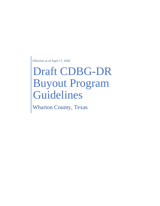Effective as of April 17, 2020

# Draft CDBG-DR Buyout Program Guidelines

Wharton County, Texas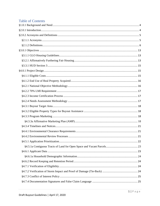# **Table of Contents**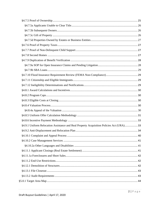| §4.9.1 Uniform Relocation Assistance and Real Property Acquisition Policies Act (URA)33 |  |
|-----------------------------------------------------------------------------------------|--|
|                                                                                         |  |
|                                                                                         |  |
|                                                                                         |  |
|                                                                                         |  |
|                                                                                         |  |
|                                                                                         |  |
|                                                                                         |  |
|                                                                                         |  |
|                                                                                         |  |
|                                                                                         |  |
|                                                                                         |  |
|                                                                                         |  |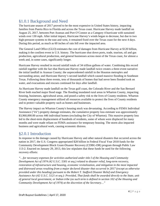# <span id="page-4-0"></span>§1.0.1 Background and Need

The hurricane season of 2017 proved to be the most expensive in United States history, impacting families from Puerto Rico to Florida and across the Texas coast. Hurricane Harvey made landfall on August 25, 2017, between Port Aransas and Port O'Connor as a Category 4 hurricane with sustained winds over 130 mph. After initial impact, Hurricane Harvey's winds began to decrease, but due to two high-pressure systems to the east and west, it remained fixed over the Texas coast for the next 4 days. During this period, as much as 60 inches of rain fell over the impacted area.

The General Land Office (GLO) estimates the cost of damages from Hurricane Harvey at \$120 billion, making it the costliest event in U.S. history. The hurricane shut down ports, trade, tourism, oil and gas production, agricultural production, and general businesses across most of the Texas coast, for almost a week and, in some cases, significantly longer.

Hurricane Harvey resulted in record rainfall totals of 34 trillion gallons of water. Combining this record rainfall together with the fact that Hurricane Harvey made landfall twice creates a three-event narrative: the initial landfall in Aransas County; the unprecedented rainfall in the Houston metroplex and surrounding areas; and Hurricane Harvey's second landfall which caused massive flooding in Southeast Texas. Following these three events, tens of thousands of homes that had never been flooded took on water, and evacuations and rescues continued for days after landfall.

As Hurricane Harvey made landfall on the Texas gulf coast, the Colorado River and the San Bernard River both reached major flood stage. The flooding inundated rural areas in Wharton County, impacting housing, businesses, agricultural areas, and posed a safety risk to the lives of County residents. Wharton County emergency management utilized all resources available to protect the lives of County residents and to protect valuable property such as homes and businesses.

The Harvey impact on Wharton County's housing stock was devastating. According to FEMA Individual Assistance ("IA") property damage estimates, the cumulative property loss estimate was approximately \$3,960,000.00 across 446 individual homes (excluding the City of Wharton). This massive property loss led to the short-term displacement of hundreds of residents, some of whom were displaced for many months and were made reliant on FEMA assistance for temporary housing. The storm also impacted business and agricultural work, causing economic distress.

# <span id="page-4-1"></span>§2.0.1 Introduction

In response to the damage caused by Hurricane Harvey and other natural disasters that occurred across the nation in 2017, the U.S. Congress appropriated \$28 billion in Federal Fiscal Year 2018 funds for the Community Development Block Grant-Disaster Recovery (CDBG-DR) program through Public Law 113-2. Enacted on January 29, 2013, this law stipulates that these funds be used for the following recovery efforts:

*"…for necessary expenses for activities authorized under title I of the Housing and Community Development Act of 1974 (42 U.S.C. 5301 et seq.) related to disaster relief, long-term recovery, restoration of infrastructure and housing, economic revitalization, and mitigation in the most impacted and distressed areas resulting from a major declared disaster that occurred in 2017 (except as otherwise provided under this heading) pursuant to the Robert T. Stafford Disaster Relief and Emergency Assistance Act (42 U.S.C. 5121 et seq.): Provided, That funds shall be awarded directly to the State, unit of general local government, or Indian tribe (as such term is defined in section 102 of the Housing and Community Development Act of 1974) at the discretion of the Secretary…"*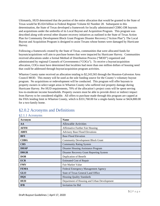Ultimately, HUD determined that the portion of the entire allocation that would be granted to the State of Texas would be \$5.024 billion in Federal Register Volume 82 Number 28. Subsequent to this determination, the State of Texas developed a framework for locally administrated CDBG-DR buyouts and acquisitions under the umbrella of its Local Buyout and Acquisition Program. This program was described along with several other disaster recovery initiatives as outlined in the State of Texas Action Plan for Community Development Block Grant Program Disaster Recovery ("Action Plan"). The Local Buyout and Acquisition Program is designed to assist Texans whose homes were damaged by Hurricane Harvey.

Following a framework created by the State of Texas, communities that were allocated funds for buyouts/acquisitions will aim to purchase homes that were impacted by Hurricane Harvey. Communities received allocations under a formal Method of Distribution Process ("MOD") organized and administrated by regional Counsels of Governments ("COGs"). To receive a buyout/acquisition allocation, COGs must have determined that localities had more than one million dollars of housing need that could be addressed through buyout/acquisition program activities.

Wharton County name received an allocation totaling to \$2,243,565 through the Houston-Galveston Area Council MOD. This money will be used as the sole funding source for the County's voluntary buyout program. No acquisitions or redevelopment will be conducted. This program will offer buyouts to property owners in select target areas in Wharton County who suffered real property damage during Hurricane Harvey. Per HUD requirements, 70% of the allocation's project costs will be spent serving low-to-moderate income households. Property owners must be able to provide direct or indirect impact from Harvey to be considered eligible. All offers to purchase made through this program are capped at the FHA lending limit in Wharton County, which is \$331,760.00 for a single-family home or \$424,800.00 for a two-family home.

| Acronym     | <b>Name</b>                                 |  |
|-------------|---------------------------------------------|--|
| AA          | <b>Allowable Activities</b>                 |  |
| <b>AFFH</b> | <b>Affirmative Further Fair Housing</b>     |  |
| <b>ABFE</b> | <b>Advisory Base Flood Elevations</b>       |  |
| <b>BFE</b>  | <b>Base Flood Elevation</b>                 |  |
| <b>CDBG</b> | <b>Community Development Block Grant</b>    |  |
| <b>CRS</b>  | <b>Community Rating System</b>              |  |
| <b>DHAP</b> | <b>Disaster Housing Assistance Program</b>  |  |
| <b>DRGR</b> | Disaster Recovery Grant Reporting System    |  |
| <b>DOB</b>  | Duplication of Benefit                      |  |
| <b>ECR</b>  | <b>Estimated Cost of Repair</b>             |  |
| <b>FMV</b>  | Fair Market Value                           |  |
| <b>FEMA</b> | Federal Emergency Management Agency         |  |
| <b>GLO</b>  | <b>State of Texas General Land Office</b>   |  |
| <b>HQS</b>  | <b>Housing Quality Standards</b>            |  |
| <b>HUD</b>  | Department of Housing and Urban Development |  |
| <b>IFB</b>  | <b>Invitation</b> for Bid                   |  |

# <span id="page-5-0"></span>§2.0.2 Acronyms and Definitions

<span id="page-5-1"></span>§2.1.1 Acronyms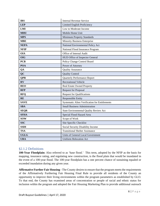| <b>IRS</b>  | <b>Internal Revenue Service</b>                |  |  |  |
|-------------|------------------------------------------------|--|--|--|
| <b>LEP</b>  | Limited English Proficiency                    |  |  |  |
| <b>LMI</b>  | Low to Moderate Income                         |  |  |  |
| <b>MHU</b>  | Mobile Home Unit                               |  |  |  |
| <b>MPS</b>  | <b>Minimum Property Standards</b>              |  |  |  |
| <b>MBE</b>  | <b>Minority Business Enterprise</b>            |  |  |  |
| <b>NEPA</b> | National Environmental Policy Act              |  |  |  |
| <b>NFIP</b> | National Flood Insurance Program               |  |  |  |
| <b>OIA</b>  | Office of Internal Audit                       |  |  |  |
| <b>OIG</b>  | HUD Office of Inspector General                |  |  |  |
| <b>PCB</b>  | Policy Change Control Board                    |  |  |  |
| <b>POA</b>  | Power of Attorney                              |  |  |  |
| QA          | <b>Quality Assurance</b>                       |  |  |  |
| QC          | <b>Quality Control</b>                         |  |  |  |
| <b>QPR</b>  | Quarterly Performance Report                   |  |  |  |
| RV          | <b>Recreational Vehicle</b>                    |  |  |  |
| <b>REO</b>  | <b>Real Estate Owned Property</b>              |  |  |  |
| <b>RFP</b>  | <b>Request for Proposal</b>                    |  |  |  |
| <b>RFQ</b>  | <b>Request for Qualifications</b>              |  |  |  |
| <b>RE</b>   | Responsible Entity                             |  |  |  |
| <b>SAVE</b> | Systematic Alien Verification for Entitlements |  |  |  |
| <b>SBA</b>  | <b>Small Business Administration</b>           |  |  |  |
| <b>SEQR</b> | State Environmental Quality Review Act         |  |  |  |
| <b>SFHA</b> | Special Flood Hazard Area                      |  |  |  |
| <b>SOW</b>  | Scope of Work                                  |  |  |  |
| <b>SSC</b>  | Site Specific Checklist                        |  |  |  |
| <b>SSDI</b> | Social Security Disability Income              |  |  |  |
| <b>TSA</b>  | <b>Transitional Shelter Assistance</b>         |  |  |  |
| <b>UGLG</b> | Units of General Local Government              |  |  |  |
| <b>URA</b>  | <b>Uniform Relocation Act</b>                  |  |  |  |

# <span id="page-6-0"></span>§2.1.2 Definitions

**100-Year Floodplain:** Also referred to as 'base flood.' This term, adopted by the NFIP as the basis for mapping, insurance rating, and regulating new construction, is the flood plain that would be inundated in the event of a 100-year flood. The 100-year floodplain has a one percent chance of sustaining equaled or exceeded inundation during any given year.

**Affirmative Further Fair Housing -** The County desires to ensure that the program meets the requirements of the Affirmatively Furthering Fair Housing Final Rule to provide all residents of the County an opportunity to improve their living environments within the program parameters as established by GLO. To that end, the County has examined areas of concentration or people of racial and ethnic status for inclusion within the program and adopted the Fair Housing Marketing Plan to provide additional outreach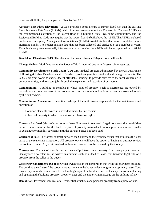to ensure eligibility for participation. (See Section 3.2.1).

**Advisory Base Flood Elevations (ABFE):** Provide a better picture of current flood risk than the existing Flood Insurance Rate Maps (FIRMs), which in some cases are more than 25 years old. The new ABFEs are the recommended elevation of the lowest floor of a building. State law, some communities, and the Residential Building Code may require that the lowest floor be built above the ABFE. The ABFEs are based on Federal Emergency Management Associations (FEMA) coastal studies that were completed before Hurricane Sandy. The studies include data that has been collected and analyzed over a number of years. Though advisory now, eventually information used to develop the ABFEs will be incorporated into official FIRMs.

**Base Flood Elevation (BFE):** The elevation that waters from a 100-year flood will reach.

**Change Orders:** Modifications to the Scope of Work required due to unforeseen circumstances.

**Community Development Block Grant (CDBG):** A federal program administered by the US Department of Housing & Urban Development (HUD) which provides grant funds to local and state governments. The CDBG program works to ensure decent affordable housing, to provide services to the most vulnerable in our communities, and to create jobs through the expansion and retention of businesses.

**Condominium:** A building or complex in which units of property, such as apartments, are owned by individuals and common parts of the property, such as the grounds and building structure, are owned jointly by the unit owners.

**Condominium Association**: The entity made up of the unit owners responsible for the maintenance and operation of:

- o Common elements owned in undivided shares by unit owners
- o Other real property in which the unit owners have use rights

**Contract for Deed** (also referred to as a Lease Purchase Agreement): Legal document that establishes items to be met in order for the deed to a piece of property to transfer from one person to another, usually in exchange for monthly payments until the purchase price has been paid.

**Contract of Sale:** The formal contract between the County and the Property owner that stipulates the legal terms of the real estate transaction. All property owners will have the option of having an attorney review the contract of sale. Any cost involved in these reviews will not be covered by the County.

**Conveyance:** The act of transferring an ownership interest in a property from one party to another. Conveyance also refers to the written instrument, such as a deed or lease, that transfers legal title of a property from the seller to the buyer.

**Cooperative apartments (Coops):** Owner owns stock in the corporation that owns the apartment building. The building then "leases" the cooperative apartment to the buyer under a long-term proprietary lease. Coop owners pay monthly maintenance to the building corporation for items such as the expenses of maintaining and operating the building property, property taxes and the underlying mortgage on the building (if any).

**Demolition:** Permanent removal of all residential structures and personal property from a piece of land.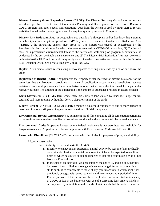**Disaster Recovery Grant Reporting System (DRGR):** The Disaster Recovery Grant Reporting system was developed by HUD's Office of Community Planning and Development for the Disaster Recovery CDBG program and other special appropriations. Data from the system is used by HUD staff to review activities funded under these programs and for required quarterly reports to Congress.

**Disaster Risk Reduction Area:** A geographic area outside of a floodplain and/or floodway that a grantee or subrecipient can target for pre-storm FMV buyouts.To create a Disaster Risk Reduction Area ("DRRA"), the purchasing agency must prove (1) The hazard was caused or exacerbated by the Presidentially declared disaster for which the grantee received its CDBG–DR allocation; (2) The hazard must be a predictable environmental threat to the safety and well-being of program beneficiaries, as evidenced by the best available data and science; and (3) The Disaster Risk Reduction Area must be clearly delineated so that HUD and the public may easily determine which properties are located within the Disaster Risk Reduction Area. See Federal Register Vol. 80 No. 222.

**Duplex:** A residential structure consisting of two separate dwelling units, side by side or one above the other.

**Duplication of Benefit (DOB):** Any payments the Property owner received for disaster assistance for the same loss that the Program is providing assistance. A duplication occurs when a beneficiary receives assistance from multiple sources for a cumulative amount that exceeds the total need for a particular recovery purpose. The amount of the duplication is the amount of assistance provided in excess of need.

**Earth Movement:** Is a FEMA term where there are shifts to land caused by landslide, slope failure, saturated soil mass moving by liquidity down a slope, or sinking of the earth.

**Elderly Person:** [24 CFR 891.205] An elderly person is a household composed of one or more persons at least one of whom is 62 years of age or more at the time of initial occupancy.

**Environmental Review Record (ERR):** A permanent set of files containing all documentation pertaining to the environmental review compliance procedures conducted and environmental clearance documents

**Environmental Code:** Properties located where federal assistance is not permitted are ineligible for Program assistance. Properties must be in compliance with Environmental Code 24 CFR Part 58.

**Person with Disabilities:** [24 CFR 5.403]. A person with disabilities for purposes of program eligibility:

- 1. Means a person who:
	- a. Has a disability, as defined in 42 U.S.C. 423;
		- i. Inability to engage in any substantial gainful activity by reason of any medically determinable physical or mental impairment which can be expected to result in death or which has lasted or can be expected to last for a continuous period of not less than 12 months; or
		- ii. In the case of an individual who has attained the age of 55 and is blind, inability by reason of such blindness to engage in substantial gainful activity requiring skills or abilities comparable to those of any gainful activity in which he/she has previously engaged with some regularity and over a substantial period of time. For the purposes of this definition, the term blindness means central vision acuity of 20/200 or less in the better eye with use of a correcting lens. An eye which is accompanied by a limitation in the fields of vision such that the widest diameter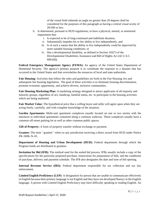of the visual field subtends an angle no greater than 20 degrees shall be considered for the purposes of this paragraph as having a central visual acuity of 20/200 or less.

- b. Is determined, pursuant to HUD regulations, to have a physical, mental, or emotional impairment that:
	- i. Is expected to be of long-continued and indefinite duration,
	- ii. Substantially impedes his or her ability to live independently, and
	- iii. Is of such a nature that the ability to live independently could be improved by more suitable housing conditions; or
	- iv. Has a developmental disability, as defined in Section 102(7) of the Developmental Disabilities Assistance and Bill of Rights Act (42 U.S.C. 6001(8))

Federal Emergency Management Agency (FEMA): An agency of the United States Department of Homeland Security. The agency's primary purpose is to coordinate the response to a disaster that has occurred in the United States and that overwhelms the resources of local and state authorities.

**Fair Housing:** Activities that follow the rules and guidelines set forth in the Fair Housing Act and subsequent fair housing legislation. The goal of these activities is to eliminate housing discrimination, promote economic opportunity, and achieve diverse, inclusive communities.

**Fair Housing Marketing Plan:** A marketing strategy designed to attract applicants of all majority and minority groups, regardless of sex, handicap, familial status, etc. to participate in the housing activities which are being marketed.

**Fair Market Value**: The hypothetical price that a willing buyer and seller will agree upon when they are acting freely, carefully, and with complete knowledge of the situation.

**Garden Apartments:** Multi-unit apartment complexes usually located on one or two stories with the entrances to individual apartments contained along a common walkway. These complexes usually have a common off-street parking lot as well as other common public spaces.

**Gift of Property:** A form of property transfer without exchange or payment.

**Grantee:** The term ''grantee'' refers to any jurisdiction receiving a direct award from HUD under Notice FR–5696–N–01.

**Department of Housing and Urban Development (HUD):** Federal department through which the Program funds are distributed to grantees.

**Invitation for Bid (IFB):** The method used for the sealed bid process. IFBs usually include a copy of the specifications for the particular proposed purchase, instructions for preparation of bids, and the conditions of purchase, delivery and payment schedule. The IFB also designates the date and time of bid opening.

**Internal Revenue Service (IRS):** Federal department responsible for tax collection and tax law enforcement.

**Limited English Proficiency (LEP):** A designation for person that are unable to communicate effectively in English because their primary language is not English and they have not developed fluency in the English language. A person with Limited English Proficiency may have difficulty speaking or reading English. An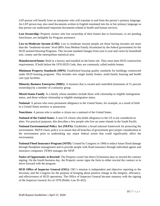LEP person will benefit from an interpreter who will translate to and from the person's primary language. An LEP person may also need documents written in English translated into his or her primary language so that person can understand important documents related to health and human services.

Lost Ownership: Property owners who lost ownership of their homes due to foreclosure, or are pending foreclosure, are ineligible for Program assistance.

**Low-to-Moderate Income (LMI):** Low to moderate income people are those having incomes not more than the "moderate-income' level (80% Area Median Family Income)set by the federal government for the HUD assisted Housing Programs. This income standard changes from year to year and varies by household size, county and the metropolitan statistical area.

**Manufactured home:** Built in a factory and installed on the home site. They must meet HUD construction requirements. If built before the 1976 HUD Code, they are commonly called mobile homes.

**Minimum Property Standards (MPS):** Established housing quality standards for buildings constructed under HUD housing programs. This includes new single family homes, multi-family housing and health care type facilities.

**Minority Business Enterprise (MBE):** A business that is owned and controlled (minimum of 51 percent ownership) by a member of a minority group.

**Mixed-Status Family**: Is a family whose members include those with citizenship or eligible immigration status, and those without citizenship or eligible immigration status.

**National:** A person who owes permanent allegiance to the United States, for example, as a result of birth in a United States territory or possession.

**Noncitizen**: A person who is neither a citizen nor a national of the United States.

**National of the United States**: A non-US citizen who holds allegiance to the US is not considered an alien. For practical purposes, this describes a few people who live on some islands in the South Pacific.

**National Environmental Policy Act (NEPA):** Establishes a broad national framework for protecting the environment. NEPA's basic policy is to assure that all branches of government give proper consideration to the environment prior to undertaking any major federal action that could significantly affect the environment.

**National Flood Insurance Program (NFIP):** Created by Congress in 1968 to reduce future flood damage through floodplain management and to provide people with flood insurance through individual agents and insurance companies. FEMA manages the NFIP.

**Notice of Opportunity to Rescind:** The Property owner has three (3) business days to rescind the contract signing. On the fourth business day, the Property owner signs the form to either rescind the contract or to move forward with the program.

**HUD Office of Inspector General (OIG):** OIG's mission is independent and objective reporting to the Secretary and the Congress for the purpose of bringing about positive change in the integrity, efficiency, and effectiveness of HUD operations. The Office of Inspector General became statutory with the signing of the Inspector General Act of 1978 (Public Law 95-452).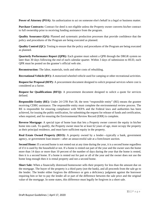**Power of Attorney (POA):** An authorization to act on someone else's behalf in a legal or business matter.

**Purchase Contracts:** Contract for deed is not eligible unless the Property owner converts his/her contract to full ownership prior to receiving funding assistance from the program.

**Quality Assurance (QA):** Planned and systematic production processes that provide confidence that the policy and procedures of the Program are being executed as planned.

**Quality Control (QC):** Testing to ensure that the policy and procedures of the Program are being executed as planned.

**Quarterly Performance Report (QPR):** Each grantee must submit a QPR through the DRGR system no later than 30 days following the end of each calendar quarter. Within 3 days of submission to HUD, each QPR must be posted on the grantee's official web site.

**Reconstruction:** The labor, materials, tools and other costs of rebuilding.

**Recreational Vehicle (RV):** A motorized wheeled vehicle used for camping or other recreational activities.

**Request for Proposal (RFP):** A procurement document designed to solicit proposal services where cost is considered as a factor.

**Request for Qualifications (RFQ):** A procurement document designed to solicit a quote for services defined.

**Responsible Entity (RE):** Under 24 CFR Part 58, the term "responsible entity" (RE) means the grantee receiving CDBG assistance. The responsible entity must complete the environmental review process. The RE is responsible for ensuring compliance with NEPA and the Federal laws and authorities has been achieved, for issuing the public notification, for submitting the request for release of funds and certification, when required, and for ensuring the Environmental Review Record (ERR) is complete.

**Reverse Mortgage:** A special type of home loan that lets a Property owner convert the equity in his/her home into cash. To qualify, the Property owner must be at least 62 years of age, must occupy the property as their principal residence, and must have sufficient equity in the property.

**Real Estate Owned Property (REO):** A property owned by a lender—typically a bank, government agency, or government loan insurer—after an unsuccessful sale at a foreclosure auction.

**Second Home:** If a second home is not rented out at any time during the year, it is a second home regardless of if it is used by the household or not. If a home is rented out part of the year and the owner uses the home more than 14 days or more than 10 percent of the number of days during the year that the home is rented, then it is a second home. If a home is rented out for part or all of the year and the owner does not use the home long enough then it is rental property and not a second home.

**Short Sale:** When a financially distressed homeowner sells their property for less than the amount due on the mortgage. The buyer of the property is a third party (not the bank), and all proceeds from the sale go to the lender. The lender either forgives the difference or gets a deficiency judgment against the borrower requiring him or her to pay the lender all or part of the difference between the sale price and the original value of the mortgage. In some states, this difference must legally be forgiven in a short sale.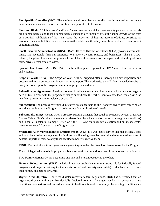**Site Specific Checklist (SSC):** The environmental compliance checklist that is required to document environmental clearance before Federal funds are permitted to be awarded.

**Slum and Blight:** "Blighted area" and "slum" mean an area in which at least seventy per cent of the parcels are blighted parcels and those blighted parcels substantially impair or arrest the sound growth of the state or a political subdivision of the state, retard the provision of housing accommodations, constitute an economic or social liability, or are a menace to the public health, safety, morals, or welfare in their present condition and use

**Small Business Administration (SBA):** SBA's Office of Disaster Assistance (ODA) provides affordable, timely and accessible financial assistance to Property owners, renters, and businesses. The SBA lowinterest, long-term loans are the primary form of federal assistance for the repair and rebuilding of nonfarm, private sector disaster losses.

**Special Flood Hazard Area (SFHA):** The base floodplain displayed on FEMA maps. It includes the A and V zones.

**Scope of Work (SOW):** The Scope of Work will be prepared after a thorough on-site inspection and documented into a project specific work write-up report. The work write-up will identify needed repairs to bring the home up to the Program's minimum property standards.

**Subordination Agreement:** A written contract in which a lender who has secured a loan by a mortgage or deed of trust agrees with the property owner to subordinate the earlier loan to a new loan (thus giving the new loan priority in any foreclosure or payoff).

**Subrogation:** The process by which duplicative assistance paid to the Property owner after receiving an award are remitted to the Program in order to rectify a duplication of benefit.

**Substantial Damage:** Occurs when a property sustains damages that equal or exceed 50 percent of its Fair Market Value (FMV) prior to the event, as determined by a local authorized official (e.g., a code officer) and is sent a Substantial Damage Letter, or if the ECR/AA value (minus elevation and bulkheads costs) meets or exceeds 50 percent of the Program cap.

**Systematic Alien Verification for Entitlements (SAVE):** Is a web-based service that helps federal, state and local benefit-issuing agencies, institutions, and licensing agencies determine the immigration status of benefit Property owners so only those entitled to benefits receive them.

**TIGR:** The central electronic grants management system that the State has chosen to use for the Program.

**Trust:** A legal vehicle to hold property subject to certain duties and to protect it for another individual(s).

**Two-Family Homes**: Owner occupying one unit and a tenant occupying the other.

**Uniform Relocation Act (URA):** A federal law that establishes minimum standards for federally funded programs and projects that require the acquisition of real property (real estate) or displace persons from their homes, businesses, or farms.

**Urgent Need Objective:** Under the disaster recovery federal regulations, HUD has determined that an urgent need exists within the Presidentially Declared counties. An urgent need exists because existing conditions pose serious and immediate threat to health/welfare of community, the existing conditions are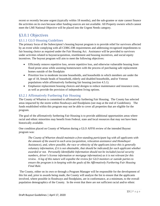recent or recently became urgent (typically within 18 months), and the sub-grantee or state cannot finance the activities on its own because other funding sources are not available. All Property owners which cannot meet the LMI National Objective will be placed into the Urgent Needs category.

# <span id="page-13-0"></span>§3.0.1 Objectives

# <span id="page-13-1"></span>§3.1.1 GLO Housing Guidelines

The primary focus of the Subrecipient's housing buyout program is to provide relief for survivors affected by an event while complying with all CDBG-DR requirements and addressing recognized impediments to fair housing choice as required under the Fair Housing Act. Assistance will be provided to survivors under activities related to buyout/acquisition, resettlement and housing incentives, and social equity incentives. The buyout program will aim to meet the following objectives:

- Efficiently remove repetitive loss, severe repetitive loss, and otherwise vulnerable housing from flood prone areas while assisting homeowners with the process of purchasing safe replacement homes outside of the floodplain
- Prioritize low to moderate income households, and households in which members are under the age of 18, female heads of household, elderly and disabled households, and/or Veteran populations while affirmatively furthering fair housing (section 4.5.1).
- Emphasize replacement housing choices and designs to reduce maintenance and insurance costs, as well as provide the provision of independent living options.

# <span id="page-13-2"></span>§3.2.1 Affirmatively Furthering Fair Housing

The County of Wharton is committed to affirmatively furthering Fair Housing. The County has selected areas impacted by the storm within floodways and floodplains (see map at the end of Guidelines). The funds established within this program may not be able to cover all properties that are eligible for the program.

The goal of the affirmatively furthering Fair Housing is to provide additional opportunities areas where racial and ethnic minorities may benefit from Federal, state and local resources that may not have been historically available.

One condition placed on County of Wharton during a GLO AFFH review of the intended Buyout program was:

*The County of Wharton should maintain a free-standing participant log with all applicants with the amount of the award in each area (acquisition, relocation assistance and Homebuyer Assistance), and, where possible, the race or ethnicity of the applicant (since this is generally voluntary information, if it is not obtainable, that should be indicated) for each applicant whether awarded or not. Personally Identifiable Information should not be included (social security numbers, driver's license information or mortgage information) as it is not relevant for this review. A log of this nature will expedite the review for GLO monitors or outside parties to ensure the program is in keeping with the goals of the Affirmatively Furthering Fair Housing Final Rule.*

The County, either on its own or through a Program Manager will be responsible for the development of this list and, prior to awards being made, the County will analyze the list to ensure that the applicants involved, where possible in floodways and floodplains, are in conformance, at a minimum, to the overall population demographics of the County. In the event that there are not sufficient racial and/or ethnic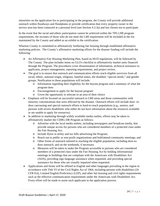minorities on the application list or participating in the program, the County will provide additional outreach within floodways and floodplains or provide certification that every property owner in the service area has been contacted at a personal level (see Section 4.3.3a) and has chosen not to participate.

In the event that the racial and ethnic participation cannot be achieved within the 70% LMI program requirements, the incomes of those who do not meet the LMI requirement will be included in the list maintained by the County and added as an exhibit to the certification.

Wharton County is committed to affirmatively furthering fair housing through established affirmative marketing policies. The County's affirmative marketing efforts for the disaster funding will include the following:

- An Affirmative Fair Housing Marketing Plan, based on HUD regulations, will be followed by The County. The plan includes items on GLO's checklist to affirmatively market units financed through the Program. The procedures cover dissemination of information, technical assistance to applicants, project management, reporting requirements, and project review.
- The goal is to ensure that outreach and communication efforts reach eligible survivors from all racial, ethnic, national origin, religious, familial status, the disabled, "special needs," and gender groups. Notification to these populations will include:
	- o Information regarding their eligibility for the buyout program and a summary of what the program does
	- o Encouragement to apply for the buyout program
	- o Given the opportunity to relocate to an area of their choice
- Emphasis will be focused on successful outreach to LMI areas and those communities with minority concentrations that were affected by the disaster. Outreach efforts will include door- todoor canvassing and special outreach efforts to hard-to-reach populations (e.g., seniors, and persons with severe disabilities who either do not have information about the resources available or are unable to apply for resources).
- In addition to marketing through widely available media outlets, efforts may be taken to affirmatively market the CDBG-DR Program as follows:
	- o Advertise with the local media outlets, including newspapers and broadcast media, that provide unique access for persons who are considered members of a protected class under the Fair Housing Act;
	- o Include flyers in utility and tax bills advertising the Program;
	- o Reach out to public or non-profit organizations and hold/attend community meetings; and
	- o Other forms of outreach tailored to reaching the eligible population, including door-todoor outreach, and on the weekends, if necessary.
	- o Measures will be taken to make the Program accessible to persons who are considered members of a protected class under the Fair Housing Act by holding informational meetings in buildings that are compliant with the Americans with Disabilities Act (ADA), providing sign language assistance when requested, and providing special assistance for those who are visually impaired when requested.
- Applications and forms will be offered in English and other languages prevailing in the region in accordance with Title VI of the Civil Rights Act of 1964, including persons with disabilities (24 CFR 8.6), Limited English Proficiency (LEP), and other fair housing and civil rights requirements such as the effective communication requirements under the Americans with Disabilities Act. Every effort will be made to assist such applicants in the application process.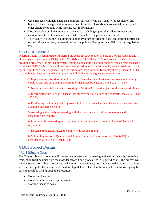- Case managers will help navigate and inform survivors who may qualify for acquisition and buyout of their damaged unit to remove them from flood hazards, environmental hazards, and other unsafe conditions while meeting AFFH obligations.
- Documentation of all marketing measures used, including copies of all advertisements and announcements, will be retained and made available to the public upon request.
- The County will use the Fair Housing logo in Program advertising, post Fair Housing posters and related information and, in general, inform the public of its rights under Fair Housing regulations law.

# <span id="page-15-0"></span>§3.3.1 HUD Section 3

Wharton County is committed to furthering the goals of HUD Section 3. Section 3 of the Housing and Urban Development Act of 1968 [12 U.S.C. 1701u and 24 CFR Part 135] represents HUD's policy for providing preference for new employment, training, and contracting opportunities created from the usage of covered HUD funds to low- and very low-income residents of the community where certain funds are spent (regardless of race or gender), and the businesses that substantially employ these persons. In order to comply with Section 3, the buyout program will do the following whenever necessary;

1. Implementing procedures to notify Section 3 residents and business concerns about training, employment, and contracting opportunities generated by Section 3 covered assistance;

2. Notifying potential contractors working on Section 3 covered projects of their responsibilities;

3. Incorporating the Section 3 Clause into all covered solicitations and contracts [see 24 CFR Part 135.38];

4. Facilitating the training and employment of Section 3 residents and the award of contracts to Section 3 business concerns;

5. Assisting and actively cooperating with the Department in making contractors and subcontractors comply;

6. Refraining from entering into contracts with contractors that are in violation of Section 3 regulations;

7. Documenting actions taken to comply with Section 3; and

8. Submitting Section 3 Quarterly and Annual Summary Reports (form HUD-60002) in accordance with 24 CFR Part 135.90.

# <span id="page-15-1"></span>§4.0.1 Project Design

# <span id="page-15-2"></span>§4.1.1 Eligible Costs

The County's buyout program will concentrate its efforts on increasing regional resiliency by removing residential dwelling units from the most dangerous flood-prone areas in its jurisdiction. The process will involve several costs, both direct costs and administrative/delivery costs, to ensure the project's activities will meet all applicable federal, state, and local guidelines. The County anticipates the following eligible costs that will be paid through the allocation:

- Home purchase costs
- Home demolition and disposal costs
- Housing incentive costs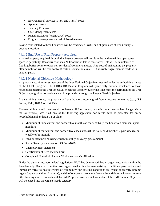- Environmental services (Tier I and Tier II) costs
- Appraisal costs
- Title/legal/escrow costs
- Case Management costs
- Rental assistance (tenant URA) costs
- Program management and administrative costs

Paying costs related to these line items will be considered lawful and eligible uses of The County's buyout allocation.

# <span id="page-16-0"></span>§4.1.2 End Use of Real Property Acquired

Any real property acquired through this buyout program will result in the land remaining open green space in perpetuity. Reconstruction may NOT occur on lots in these areas; lots will be maintained as flooding buffer zones or other non-residential/commercial uses. Any cost of maintaining the property after demolition will be paid for by Wharton County, unless a HUD-allowable agreement is made with another party.

# <span id="page-16-1"></span>§4.2.1 National Objective Methodology

All program activities must meet one of the three National Objectives required under the authorizing statute of the CDBG program. The CDBG-DR Buyout Program will principally provide assistance to those households meeting the LMI objective. When the Property owner does not meet the definition of the LMI Objective, eligibility for assistance will be provided through the Urgent Need Objective.

In determining income, the program will use the most recent signed federal income tax returns (e.g., IRS Forms, 1040, 1040A or 1040EZ).

If one or all household members do not have an IRS tax return, or the income situation has changed since the tax return(s) was filed, any of the following applicable documents must be presented for every household member that is 18 or older:

- Minimum of three current and consecutive months of check stubs (if the household member is paid monthly)
- Minimum of four current and consecutive check stubs (if the household member is paid weekly, biweekly or bi-monthly)
- Pension statement showing current monthly or yearly gross amount
- Social Security statement or IRS Form1099
- Unemployment statement
- Certification of Zero Income Form
- Completed Household Income Worksheet and Certification

Under the disaster recovery federal regulations, HUD has determined that an urgent need exists within the Presidentially Declared counties. An urgent need exists because existing conditions pose serious and immediate threat to health/welfare of community, the existing conditions are recent or recently became urgent (typically within 18 months), and the County or state cannot finance the activities on its own because other funding sources are not available. All Property owners which cannot meet the LMI National Objective will be placed into the Urgent Needs category.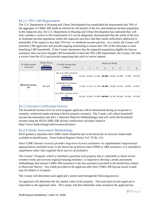# <span id="page-17-0"></span>§4.2.2 70% LMI Requirement

The U.S. Department of Housing and Urban Development has established the requirement that 70% of the aggregate of CDBG-DR funds be utilized for the benefit of the low and moderate-income population in the impacted area. the U.S. Department of Housing and Urban Development has indicated they will only consider a waiver to this requirement if it can be adequately demonstrated that the needs of the lowor moderate-income population within the impacted area have had their needs sufficiently addressed or potentially if the impact is less than 70% low- or moderate-income persons. As a result, the County will prioritize LMI applicants and provide ongoing monitoring to ensure that 70% of the allocation is used benefiting LMI households. If the County determines that the impacted population eligible for buyout assistance does not have enough LMI households to meet the 70% LMI requirement, the County will seek a waiver from the GLO and provide supporting data with its waiver request.

| <b>Median Family</b><br>FY 2020 Income<br>FY 2020 Income Limit<br>Income |                                                                                                                                                 | Persons in Family                                     |              |  |         |                                           |   |                                                           |                                                  |        |
|--------------------------------------------------------------------------|-------------------------------------------------------------------------------------------------------------------------------------------------|-------------------------------------------------------|--------------|--|---------|-------------------------------------------|---|-----------------------------------------------------------|--------------------------------------------------|--------|
| Limit Area                                                               | <b>Explanation</b>                                                                                                                              | Category                                              | $\mathbf{1}$ |  | $2 \t3$ | $\overline{4}$                            | 5 | 6                                                         | $\overline{7}$                                   | 8      |
|                                                                          | Limits $(\frac{4}{3})$<br><b>Explanation</b><br><b>Extremely Low Income</b><br>Limits $(\frac{4}{3})^*$<br>\$61,000<br>ΤХ<br><b>Explanation</b> | Very Low (50%) Income                                 |              |  |         | 21,350 24,400 27,450 30,500 32,950 35,400 |   |                                                           | 37,850                                           | 40,300 |
| <b>Wharton County,</b>                                                   |                                                                                                                                                 |                                                       |              |  |         |                                           |   | 12,850 17,240 21,720 26,200 30,680 35,160 37,850* 40,300* |                                                  |        |
|                                                                          |                                                                                                                                                 | Low (80%) Income Limits<br>(\$)<br><b>Explanation</b> |              |  |         |                                           |   |                                                           | 34,200 39,050 43,950 48,800 52,750 56,650 60,550 | 64,450 |

# <span id="page-17-1"></span>§4.2.3 Income Certification Process

The household income level for each program applicant will be determined during an in-person or remotely conducted intake meeting with the property owner(s). The County will collect household income documentation (see §4.2.1 National Objective Methodology) and will verify the household income using the HUD CDBG-DR income certification calculator found at https://www.hudexchange.info/incomecalculator/.

# <span id="page-17-2"></span>§4.2.4 Needs Assessment Methodology

HUD guidance stipulates that CDBG funds should be last in the hierarchy of recovery funds made available to beneficiaries. From Federal Register Notice Vol. 76 No. 221:

*Since CDBG disaster recovery provides long-term recovery assistance via supplemental congressional appropriations and falls lower in the hierarchy of delivery than FEMA or SBA assistance, it is intended to supplement rather than supplant these sources of assistance.*

The County's Program, which is intended to purchase real property that is vulnerable to future severe weather events and increase regional housing resiliency, is required to develop a needs assessment methodology that ensures CDBG-DR assistance is the last assistance provided to the beneficiary related to Hurricane Harvey. Any funds provided to the applicant after their CDBG-DR buyout award is paid may be subject to recapture.

The County will determine each applicant's unmet need through the following process:

An appraisal will determine the fair market value of the property. The total need of each applicant is equivalent to the appraisal value. The County will then determine what assistance the applicant has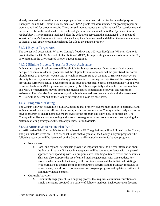already received as a benefit towards the property that has not been utilized for its intended purpose. Examples include NFIP claim disbursements or FEMA grants that were intended for property repair but were not utilized for property repair. These unused monies reduce the applicant need for resettlement and are deducted from the total need. This methodology is further described in *§4.8.5 Offer Calculation Methodology.* The remaining total need after the deductions represent the unmet need. The intent of Wharton County's Program is to determine each applicant's unmet need and deliver the total unmet need to them at a real estate closing in exchange for title to the subject property.

# <span id="page-18-0"></span>§4.3.1 Buyout Target Area

The project will occur within Wharton County's floodway and 100-year floodplain. Wharton County is prohibited by the HGAC Method of Distribution ("MOD") from providing assistance to homes in the City of Wharton, as the City received its own buyout allocation.

# <span id="page-18-1"></span>§4.3.2 Eligible Property Types for Buyout Assistance

Only certain types of real property will be eligible for buyout assistance. One and two-family owner occupied or rental residential properties will be eligible for assistance and will be prioritized over other eligible types of properties. Vacant lots in which a structure stood at the time of Hurricane Harvey are also eligible for buyout assistance and may prove essential to meeting the objectives of the Program by preventing further residential development in the buyout target area. Special considerations will be given to vacant lands with MHUs present on the property. MHUs are especially vulnerable to severe weather and MHU owners/renters may be among the highest served beneficiaries of buyout and relocation assistance. The prioritization methodology of mobile home parks (or vacant lands with the presence of MHUs) will be determined by the County in writing on a case-by-case basis.

# <span id="page-18-2"></span>§4.3.3 Program Marketing

The County's buyout program is voluntary, meaning that property owners must choose to participate and eminent domain cannot be utilized. As a result, it is incumbent upon the County to effectively market the buyout program to ensure homeowners are aware of the program and know how to participate. The County will utilize various marketing and outreach strategies to target property owners, recognizing that certain marketing strategies will reach only a subset of individuals.

# <span id="page-18-3"></span>§4.3.3a Affirmative Marketing Plan (AMP)

An Affirmative Fair Housing Marketing Plan, based on HUD regulations, will be followed by the County. The plan includes items on GLO's checklist to affirmatively market the County's buyout program. The following resources will be leveraged by the County to affirmatively market its buyout program.

- Newspapers
	- o Local and regional newspapers provide an important outlet to deliver information about the Buyout Program. Print ads in newspapers will be run in accordance with the phased approach corresponding with key program dates including outreach events and deadlines. This plan also proposes the use of earned media engagement with these outlets. For earned media outreach, the County will coordinate pre-scheduled individual briefings with journalists to apprise them on the program's progress and to push key messages to homeowners, in addition to press releases on program progress and updates distributed to community media contacts.
- Outreach Activities
	- o Community engagement is an ongoing process that requires continuous education and simple messaging provided in a variety of delivery methods. Each occurrence deepens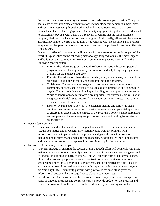the connection to the community and seeks to persuade program participation. This plan uses a data-driven integrated communications methodology that combines simple, clear, and consistent messaging through traditional and nontraditional media, grassroots outreach and face-to-face engagement. Community engagement input has revealed a need to differentiate buyouts with other GLO recovery programs like the reimbursement program, HAP, and the local infrastructure program. Additionally, efforts will be taken to affirmatively market the Buyout Program by advertising with media outlets that provide unique access for persons who are considered members of a protected class under the Fair Housing Act.

- o Outreach to affected communities will rely heavily on grassroots outreach. As part of that effort, this plan relies on the following methodology designed to make the most impact and build trust with communities we serve. Community engagement will follow the following general pattern:
	- Inform: The inform stage will be used to share information, listen for potential program success challenges, clarify information, and help bring the program top of mind for the intended end-user.
	- Educate: The education phase shares the who, what, when, where, why, and how repeatedly to gain the attention and spark interest in the program.
	- Collaborate: The collaboration stage will incorporate trusted ambassadors, community partners, and elected officials to assist in promotion and community buy-in. These stakeholders will be key to building trust and program acceptance. While collaborators and testimonials are important, the outreach team will use an integrated methodology to ensure all the responsibility for success is not solely dependent on one tactical success.
	- Decision Making and Follow-up: The decision-making and follow-up stage requires one-on-one customer service with homeowners and potential applicants to ensure they understand the entirety of the program's policies and requirements and are provided the necessary support to use their grant funding for repairs or reconstruction.
- Postcards/Direct Mail
	- o Homeowners and renters identified in targeted areas will receive an initial Voluntary Acquisition Notice and/or General Information Notice from the program with information on how to participate in the program and general contact information including phone number and emails of case managers. Additional letters will be created and sent on an as needed basis: approaching deadlines, application status, etc.
- Network of Community Partnerships
	- o A critical strategy in ensuring the success of this outreach effort will be in cultivating and maintaining a network of community organizations and influencers who are engaged and willing to support buyout outreach efforts. This will take the form of an internal listserv of individual contact people for relevant organizations: public service offices, local service based nonprofits, library publicity officers, and local elected officials. This list will be used to send information about upcoming application intake events and buyout program eligibility. Community partners with physical locations will be given an informational poster and a one-page flyer to place in common areas.
	- o In addition, the County will invite the network of community partners to participate in a series of ongoing meetings and conference calls to provide updates on the program and receive information from them based on the feedback they are hearing within the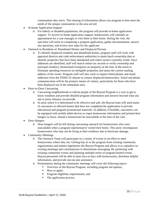communities they serve. This sharing of information allows our program to best meet the needs of the unique communities in the area served.

- In-home Application Support
	- o For elderly or disabled populations, the program will provide in-home application support. To receive in-home application support, homeowners will schedule an appointment for a case manager to visit them in their home. During the visit, the specialist will assist in completing a program application, gather documentation, answer any questions, and review next steps for the applicant.
- Outreach to Residents of Abandoned Homes and Displaced Persons
	- o To identify displaced residents and abandoned homes, program staff will work with appraisal districts and code enforcement authorities to attain batch ownership data to identify properties that have been abandoned and where owners currently reside. Once addresses are identified, staff will search online tax records to verify ownership and principal residency (homestead exemption on property) at the time of the storm to eliminate spending resources on ineligible properties and attain the current mailing address of the owner. Program staff will also work to request listed phones and email addresses from the FEMA IA dataset to contact displaced homeowners. Email and phone communication will be the primary means of contact, particularly for those who have been displaced out of the immediate area.
- Door-to-Door Canvassing
	- o Canvassing neighborhoods to inform people of the Buyout Program is a way to get to know residents and provide detailed program information and answers beyond what any ads or press releases can provide.
	- o In areas where it is determined to be effective and safe, the Buyout team will send teams of canvassers to affected homes that have not completed the application to provide educational and program promotional materials. In addition, if-feasible, canvassers can be equipped with mobile tablet devices to input homeowner information and printed door hangers to leave, should a homeowner be unavailable at the time of the visit.
- Door Hangers
	- o Door hangers will be left during canvassing outreach for homeowners who were unavailable when a program representative visited their home. This tactic encompasses homeowners who may not be living at their residence due to hurricane damage.
- Community Meetings
	- o The Outreach Team will participate in a variety of events in an effort to meet homeowners where they are. Getting buy-in to the program from existing community organizations and entities legitimizes the Buyout Program and allows it to capitalize on existing meetings and constituencies to disseminate messaging. By partnering with existing community events and planning multiple series of program-hosted events, Buyout personnel will be able to meet face-to-face with homeowners, distribute helpful information, and provide one-on-one assistance.
	- o Presentations during the community meetings will cover the following topics:
		- Overview of the Buyout Program, including program aid options;
		- $\blacksquare$  How to apply;
		- Program eligibility requirements; and
		- The application process.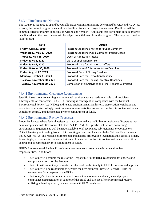# <span id="page-21-0"></span>§4.3.4 Timelines and Notices

The County is required to spend buyout allocation within a timeframe determined by GLO and HUD. As a result, the buyout program must enforce deadlines for certain project milestones. Deadlines will be communicated to program applicants in writing and verbally. Applicants that don't meet certain progress deadlines due to their own delays will be subject to withdrawal from the program. The proposed timeline is as follows:

| Date                         | <b>Action</b>                                            |
|------------------------------|----------------------------------------------------------|
| Friday, April 25, 2020       | Program Guidelines Posted for Public Comment             |
| Wednesday, May 27, 2020      | Program Guideline Public Comment Period Closed           |
| Thursday, May 28, 2020       | Open of Application Intake                               |
| Friday, July 31, 2020        | Close of application intake                              |
| <b>Friday, July 31, 2020</b> | Proposed Date for Initiation of Offers                   |
| Friday, October 30, 2020     | Proposed date of Offer Acceptance Deadline               |
| Friday, August 27, 2021      | Proposed Date of Closing Deadline                        |
| Monday, October 11, 2021     | Proposed Date for Demolition Deadline                    |
| Tuesday, November 30, 2021   | Proposed Date for Housing Incentive Deadlines            |
| Tuesday, November 30, 2021   | Completion of all Activities and Final Reports Submitted |

# <span id="page-21-1"></span>§4.4.1 Environmental Clearance Requirements

Specific instructions concerning environmental requirements are made available to all recipients, subrecipients, or contractors. CDBG-DR funding is contingent on compliance with the National Environmental Policy Act (NEPA) and related environmental and historic preservation legislation and executive orders. Accordingly, environmental review activities are carried out for site contamination and demolition control, and documented prior to commitment of funds.

# <span id="page-21-2"></span>§4.4.2 Environmental Review Processes

Properties located where federal assistance is not permitted are ineligible for assistance. Properties must be in compliance with Environmental Code 24 CFR Part 58. Specific instructions concerning environmental requirements will be made available to all recipients, sub-recipients, or Contractors. CDBG disaster grant funding from HUD is contingent on compliance with the National Environmental Policy Act (NEPA) and related environmental and historic preservation legislation and executive orders. Accordingly, environmental review activities will be carried out for site contamination and demolition control and documented prior to commitment of funds.

HUD's Environmental Review Procedures allow grantees to assume environmental review responsibilities. In addition:

- The County will assume the role of the Responsible Entity (RE), responsible for undertaking compliance efforts for the Program.
- The GLO will submit any requests for release of funds directly to HUD for review and approval.
- The County will be responsible to perform the Environmental Review Records (ERRs) or contract out for a preparer of the ERRs.
- The County's Grant Administrator will conduct an environmental analysis and prepare compliance documentation in support of the broad and site-specific environmental reviews, utilizing a tiered approach, in accordance with GLO regulations.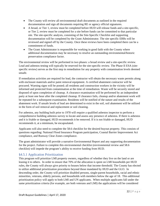- The County will review all environmental draft documents as outlined in the required documentation and sign all documents requiring RE or agency official signatures.
- A broad, or Tier 1, review must be completed before HUD will release funds and a site-specific, or Tier 2, review must be completed for a site before funds can be committed to that particular site. The site-specific analysis, consisting of the Site-Specific Checklist and supporting documentation will be completed by the Grant Administrator. The site specific ERRs will be reviewed and signed off by the County. Once these reviews have been completed there can be a commitment of funds.
- The Grant Administrator is responsible for working in good faith with the County where additional documentation may be necessary to resolve an outstanding environmental/historic preservation compliance factor.

The environmental review will be performed in two phases: a broad review and a site-specific review. Lead and asbestos testing will typically be reserved for the site-specific review. The Phase II ESA (sitespecific review) serves as the first step in remediation for any property with contamination levels deemed unsafe.

If remediation activities are required for lead, the contractor will obtain the necessary waste permits along with enclosure materials and/or paint removal equipment. A certified abatement contractor will be procured. Warning signs will be posted; all residents and construction workers in the vicinity will be informed and protected from contamination at the time of remediation. Waste will be securely stored and disposed of upon completion of cleanup. A clearance examination will be performed by an independent party at least one hour after the completed cleanup. If clearance fails, cleanup and/or abatement work will be repeated for a subsequent examination. Residents will be notified of the nature and results of the abatement work. If unsafe levels of lead are determined to exist in the soil, soil abatement will be utilized in the form of soil removal and replacement or soil cleaning.

For asbestos, any building built prior to 1978 will require a qualified asbestos inspector to perform a comprehensive building asbestos survey to locate and assess any presence of asbestos. If there is asbestos and it is friable or damaged, HUD recommends it be removed. If it is not friable or damaged, HUD recommends it, at a minimum, be encapsulated.

Applicants will also need to complete the 58.6 checklist for the desired buyout property. This consists of questions regarding: National Flood Insurance Program participation, Coastal Barrier Improvement Act compliance, and Runway Clear Zones compliance.

The grant administrator will provide a narrative Environmental Report and any supporting documentation for the project. Failure to complete this environmental checklist (environmental review and 58.6 checklist) will impede the program's ability to receive funding from HUD.

# <span id="page-22-0"></span>§4.5.1 Application Prioritization

This program will prioritize LMI property owners, regardless of whether they live on the land or are leasing it to others. In order to ensure that 70% of the allocation is spent on LMI households per HUD rules, the County will always give priority to houses below that income threshold. The County has elected to utilize additional prioritization procedures beyond those mandated by HUD and the GLO. In descending order, the County will prioritize disabled persons, single-parent households, racial and ethnic minorities, veterans, elderly persons, and households with members below the age of 18. This additional prioritization policy will apply to both LMI and UN applicants. When multiple applicants fall under the same prioritization criteria (for example, are both veterans and LMI) the applications will be considered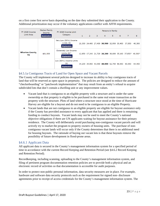on a first come first serve basis depending on the date they submitted their application to the County. Additional prioritization may occur if the voluntary applications conflict with AFFH requirements.

| Median Family<br>FY 2020 Income<br>Income |                    | FY 2020 Income Limit                                                          | Persons in Family |              |          |                                           |    |   |                                                           |        |
|-------------------------------------------|--------------------|-------------------------------------------------------------------------------|-------------------|--------------|----------|-------------------------------------------|----|---|-----------------------------------------------------------|--------|
| Limit Area                                | <b>Explanation</b> | Category                                                                      | $\mathbf{1}$      | <sup>2</sup> | $\sim$ 3 | $\overline{4}$                            | 5. | 6 | $-7$                                                      | 8      |
|                                           | \$61,000<br>ΤХ     | Very Low (50%) Income<br>Limits $(\$)$<br><b>Explanation</b>                  |                   |              |          | 21,350 24,400 27,450 30,500 32,950 35,400 |    |   | 37,850                                                    | 40,300 |
| <b>Wharton County,</b>                    |                    | <b>Extremely Low Income</b><br>Limits $(\frac{1}{2})^*$<br><b>Explanation</b> |                   |              |          |                                           |    |   | 12,850 17,240 21,720 26,200 30,680 35,160 37,850* 40,300* |        |
|                                           |                    | Low (80%) Income Limits<br>(4)<br><b>Explanation</b>                          |                   |              |          | 34,200 39,050 43,950 48,800 52,750 56,650 |    |   | 60,550                                                    | 64,450 |

# <span id="page-23-0"></span>§4.5.1a Contiguous Tracts of Land for Open Space and Vacant Parcels

The County will implement several policies designed to increase its ability to buy contiguous tracts of land that will be reserved as open space in perpetuity. The policies are designed to reduce the amount of "checkerboarding" or "patchwork implementation" that may result from an entity's refusal to acquire subdivided lots that don't contain a dwelling unit or any improvement values.

- Vacant land that is contiguous to an eligible property with a structure and is under the same ownership as that property is eligible to be purchased in the same real estate transaction as the property with the structure. Plots of land where a structure once stood at the time of Hurricane Harvey are eligible for a buyout and do not need to be contiguous to an eligible Property.
- Vacant lands that are not contiguous to an eligible property are eligible for buyout assistance only if the County has provided assistance to every applicant that has applied and there is remaining funding to conduct buyouts. Vacant lands may not be used to meet the County's national objective obligations if there are UN applicants waiting for buyout assistance for their primary residence. The County will deliberately avoid purchasing non-contiguous vacant parcels and will actively try to market the program to property owners of housing units. The purchase of noncontiguous vacant lands will occur only if the County determines that there is no additional need for housing buyouts. The rationale of buying out vacant lots is that these buyouts remove the possibility of future development in flood-prone areas.

# <span id="page-23-1"></span>§4.6.1 Applicant Data

All applicant data is secured in the County's management information system for a specified period of time in accordance with the current Record Keeping and Retention Period (see §4.6.2 Record Keeping and Retention Period).

Recordkeeping, including scanning, uploading to the County's management information system, and filing of pertinent program documentation retention policies are to provide both a physical and an electronic record of activities so that documentation is accessible for audit purposes.

In order to protect non-public personal information, data security measures are in place. For example, hardware and software data security protocols such as the requirement for signed non- disclosure agreements prior to receipt of access credentials for the County's management information system. The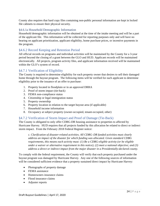County also requires that hard copy files containing non-public personal information are kept in locked file cabinets to ensure their physical security.

#### <span id="page-24-0"></span>§4.6.1a Household Demographic Information

Household demographic information will be obtained at the time of the intake meeting and will be a part of the applicant file. This information will be collected for reporting purposes only and will have no bearing on applicant prioritization, applicant eligibility, home purchase prices, or incentive payments in the program.

# <span id="page-24-1"></span>§4.6.2 Record Keeping and Retention Period

All official records on programs and individual activities will be maintained by the County for a 3-year period beyond the closing of a grant between the GLO and HUD. Applicant records will be maintained electronically. All projects, program activity files, and applicant information received will be maintained within the GLO's system of record.

# <span id="page-24-2"></span>§4.7.1 Verification of Eligibility

The County is required to determine eligibility for each property owner that desires to sell their damaged home through the buyout program. The following items will be verified for each applicant to determine eligibility prior to the issuance of an offer to purchase:

- 1. Property located in floodplain or in an approved DRRA
- 2. Proof of storm impact (tie-back)
- 3. FEMA non-compliance status
- 4. Citizenship or legal immigration status
- 5. Property ownership
- 6. Property location in relation to the target buyout area (if applicable)
- 7. Household income information
- 8. Occupancy at subject property (owner-occupied, tenant-occupied, other)

# <span id="page-24-3"></span>§4.7.2 Verification of Storm Impact and Proof of Damage (Tie-Back)

The County is obligated to only offer CDBG-DR housing assistance to properties to affected by Hurricane Harvey. HUD requires that all projects funded by this allocation be related to direct or indirect storm impact. From the February 2018 Federal Register notice:

*c. Clarification of disaster-related activities. All CDBG–DR funded activities must clearly address an impact of the disaster for which funding was allocated. Given standard CDBG requirements, this means each activity must: (1) Be a CDBG-eligible activity (or be eligible under a waiver or alternative requirement in this notice); (2) meet a national objective; and (3) address a direct or indirect impact from the major disaster in a Presidentially-declared county.*

To comply with the federal requirement, the County will verify that each property purchased under the buyout program was damaged by Hurricane Harvey. Any one of the following sources of information will be considered sufficient evidence that a property sustained direct impact by Hurricane Harvey:

- Photographs of property damage
- FEMA assistance
- Homeowners insurance claims
- Flood insurance claims
- Adjuster reports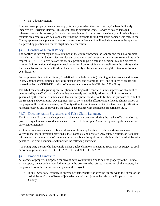#### • SBA documentation

In some cases, property owners may apply for a buyout when they feel that they've been indirectly impacted by Hurricane Harvey. This might include situations where Harvey critically damaged infrastructure that is necessary for land access to a home. In these cases, the County will review buyout requests on a case-by-case basis and ensure that the threshold for indirect storm damage was met. If the County approves an application based on indirect storm damage, it will include a memo in the applicant file providing justification for the eligibility determination.

# <span id="page-25-0"></span>§4.7.3 Conflict of Interest Policy

The conflict of interest regulations contained in the contract between the County and the GLO prohibit local elected officials, Subrecipient employees, contractors, and consultants who exercise functions with respect to CDBG-DR activities or who are in a position to participate in a decision- making process or gain inside information with regard to such activities, from receiving any benefit from the activity either for themselves or for those with whom they have family or business ties, during their tenure or for one year thereafter.

For purposes of this section, "family" is defined to include parents (including mother-in-law and fatherin-law), grandparents, siblings (including sister-in-law and brother-in-law), and children of an official covered under the CDBG-DR conflict of interest regulations at 24 CFR Sec. 570.489(h).

The GLO can consider granting an exception in writing to the conflict of interest provision should it be determined by the GLO that the County has adequately and publicly addressed all of the concerns generated by the conflict of interest and that an exception would serve to further the purposes of Title I of the Housing and Community Development Act of 1974 and the effective and efficient administration of the program. If the situation arises, the County will not enter into a conflict of interest until justification has been received and approved by the GLO in accordance with applicable procurement laws.

# <span id="page-25-1"></span>§4.7.4 Documentation Signatures and False Claim Language

The Program will require each applicant to sign several documents during the intake, offer, and closing process. Signatures on most documents are required to be original (some exceptions apply, such as thirdparty authorizations).

All intake documents meant to obtain information from applicants will include a signed statement verifying that the information provided is true, complete and accurate. Any false, fictitious, or fraudulent information, or the omission of any material, may subject the applicant to criminal, civil or administrative penalties. Program documents will include the following statement:

''Warning: Any person who knowingly makes a false claim or statement to HUD may be subject to civil or criminal penalties under 18 U.S.C. 287, 1001 and 31 U.S.C. 3729.''

# <span id="page-25-2"></span>§4.7.5 Proof of Ownership

All owners of properties proposed for buyout must voluntarily agree to sell the property to the County. Any property owner with a recorded interest in the property who refuses to agree to sell the property has the power to veto the transaction and prevent the Buyout.

If any Owner of a Property is deceased, whether before or after the Storm event, the Executor (or Administrator) of the Estate of [decedent name] must join in the sale of the Property to the County.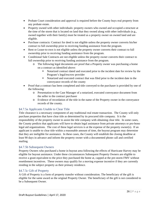- Probate Court consideration and approval is required before the County buys real property from any probate estate.
- Property owned with other individuals: property owners who owned and occupied a structure at the time of the storm that is located on land that they owned along with other individuals (e.g., owned together with their family) must be treated as a property owner on owned land and are eligible.
- Purchase contracts: Contract for deed is not eligible unless the property owner converts his/her contract to full ownership prior to receiving funding assistance from the program.
- Rent or Lease-to-own is not eligible unless the property owner converts their contract to full ownership prior to receiving funding assistance from the program.
- Conditional Sale Contracts are not eligible unless the property owner converts their contract to full ownership prior to receiving funding assistance from the program.
	- o The following legal documents are proof that a Property owner was purchasing a home on a contract as identified above:
		- Notarized contract dated and executed prior to the incident date for review by the Program's legal/escrow provider
		- Notarized and executed contract that was filed prior to the incident date in the conveyance records of the county
- Proof that a contract has been completed and title conveyed to the purchaser is provided by one of the following:
	- o Presentation to the Case Manager of a notarized, executed conveyance document from the seller to the contract purchaser
	- o Evidence of recordation of the title in the name of the Property owner in the conveyance records of the county.

# <span id="page-26-0"></span>§4.7.5a Applicants Unable to Clear Title

Title clearance is a necessary component of any traditional real estate transaction. The County will only purchase properties that have clear title as determined by its procured title company. It is the responsibility of the property owner to assist the title company with obtaining clear title. In some cases, the County predicts that applicants will have to obtain legal assistance from private attorneys or pro-bono legal aid organizations. The cost of these legal services is at the expense of the property owner(s). If an applicant is unable to clear title within a reasonable amount of time, the buyout program may determine that they are ineligible for assistance. In these cases, the County will establish the closing deadline at least 90 days in advance and inform the property owner with a documented phone call and certified mailing.

#### <span id="page-26-1"></span>§4.7.5b Subsequent Owners

Property Owners who purchased a home in buyout area following the effects of Hurricane Harvey may be eligible for buyout assistance. Under these circumstances Subsequent Property Owners are eligible to receive a grant equivalent to the price they purchased the home at, capped at the pre-storm FMV without resettlement incentives. These owners may qualify for a moving expense incentive if they are currently residing in the subject property as their primary residence.

#### <span id="page-26-2"></span>§4.7.5c Gift of Property

A Gift of Property is a form of property transfer without consideration. The beneficiary of the gift is eligible for the same award as the original Property Owner. The beneficiary of the gift is not considered to be a Subsequent Owner.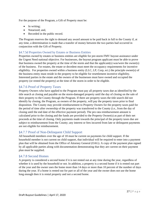For the purpose of the Program, a Gift of Property must be:

- In writing:
- Notarized; and,
- Recorded in the public record.

The Program reserves the right to demand any award amount to be paid back in full to the County if, at any time, a determination is made that a transfer of money between the two parties had occurred in conjunction with the Gift of Property.

# <span id="page-27-0"></span>§4.7.5d Properties Owned by Estates or Business Entities

Properties owned by estates or business entities are eligible for pre-storm FMV buyout assistance under the Urgent Need national objective. For businesses, the buyout program applicant must be able to prove that business owned the property at the time of the storm and that the applicant(s) was/were the owner(s) of the business. For estates, the estate or decedent must meet the occupancy requirements for incentive eligibility. For properties owned within a business entity (LLC, LP, Corp, ect.) the principle owner(s) of the business entity must reside in the property to be eligible for resettlement incentive eligibility. Interested parties in the estate and the owners of the businesses must have owned and occupied the property (or rented the property) at the time of the storm in order to be eligible.

# <span id="page-27-1"></span>§4.7.6 Proof of Property Taxes

Property Owners who have applied to the Program must pay all property taxes due as identified by the title search at closing and payable on the storm-damaged property until the day of closing on the sale of their property to the County through the Program. If there are property taxes the title search did not identify by closing, the Program, as owners of the property, will pay the property taxes prior to final disposition. The County may provide reimbursement to Property Owners for the property taxes paid for the period of time after ownership of the property was transferred to the County (i.e., from the day of closing until the end date of the effective payment period). The pro rata reimbursement amount is calculated prior to the closing and the funds are provided to the Property Owner(s) as part of their net proceeds at the time of closing. Only payments made towards the principal of the property taxes due are subject to reimbursement from the County; any interest or fees incurred from late or delinquent payments are not eligible for reimbursement.

# <span id="page-27-2"></span>§4.7.7 Proof of Non-Delinquent Child Support

All household members over the age of 18 must be current on payments for child support. If the household member is not current on child support, that individual will be required to enter into a payment plan that will be obtained from the Office of Attorney General (OAG). A copy of the payment plan signed by all applicable parties along with documentation demonstrating that they are current on their payment plan must be supplied.

# <span id="page-27-3"></span>§4.7.8 Second Homes

A property is considered a second home if it is not rented out at any time during the year, regardless of whether it is used by the household or not. In addition, a property is a second home if it is rented out part of the year and the owner uses the home more than 14 days or more than 10 percent of the number of days during the year. If a home is rented out for part or all of the year and the owner does not use the home long enough then it is rental property and not a second home.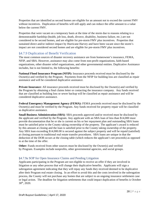Properties that are identified as second homes are eligible for an amount not to exceed the current FMV without incentives. Duplication of benefits will still apply and can reduce the offer amount to a value below the current FMV.

Properties that were vacant on a temporary basis at the time of the storm due to reasons relating to a demonstratable hardship (health, job loss, death, divorce, disability, business failure, etc.) are not considered to be second homes, and are eligible for pre-storm FMV plus incentives. Properties that sustained direct and/or indirect impact by Hurricane Harvey and have been vacant since the storm's impact are not considered second homes and are eligible for pre-storm FMV plus incentives.

# <span id="page-28-0"></span>§4.7.9 Duplication of Benefit Verification

The most common sources of disaster recovery assistance are from homeowner's insurance, FEMA, NFIP, and SBA. However, assistance may also come from non-profit organizations, faith-based organizations, other disaster relief organizations, and other governmental entities. Duplicative Assistance includes, but is not limited to, the following benefits:

**National Flood Insurance Program (NFIP):** Insurance proceeds received must be disclosed by the Owner(s) and verified by the Program. Payments from the NFIP for building loss are classified as repair assistance and will be considered duplicative assistance.

**Private Insurance:** All insurance proceeds received must be disclosed by the Owner(s) and verified by the Program by obtaining a final claims letter or contacting the insurance company. Any funds received that are classified as building loss or sewer backup will be classified as repair assistance and will be considered duplicative assistance.

**Federal Emergency Management Agency (FEMA):** FEMA proceeds received must be disclosed by the Owner(s) and must be verified by the Program. Any funds received for property repair will be classified as duplicative assistance.

**Small Business Administration (SBA)**: SBA proceeds approved and/or received must be disclosed by the applicant and verified by the Program. Any applicant with an SBA loan of less than \$14,000 must provide documentation that he or she is current on his or her repayment plan and outstanding SBA loans must be satisfied prior to the County taking ownership of the property. The applicant's award is reduced by this amount at closing and the loan is satisfied prior to the County taking ownership of the property. Any SBA loan exceeding \$14,000.00 is secured against the subject property and will be repaid (satisfied) at closing pursuant to traditional real estate transfer procedures. SBA loans are unique in that the deduction of the DOB occurs at the closing table (which reduces the applicant's net proceeds) as opposed to at the time of the offer.

**Other:** Funds received from other sources must be disclosed by the Owner(s) and verified by Program. Examples include nonprofits, other governmental agencies, and social groups.

# <span id="page-28-1"></span>§4.7.9a SOP for Open Insurance Claims and Pending Litigation

Applicants participating in the Program are not eligible to receive an offer if they are involved in litigation or any other process that will change their duplicative benefits. Applicants will sign a subrogation agreement indicating that they will repay any funds they received deemed to be duplicative after their Program real estate closing. In an effort to avoid this and the costs involved in the subrogation process, the County will not purchase any homes that are subject to an ongoing insurance settlement case or legal action. The deadline for litigation settlements that could impact duplication of benefits is October 30th, 2020.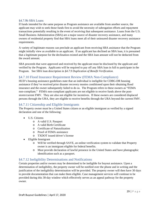#### <span id="page-29-0"></span>§4.7.9b SBA Loans

If funds intended for the same purpose as Program assistance are available from another source, the applicant may wish to seek those funds first to avoid the necessity of subrogation efforts and repayment transactions potentially resulting in the event of receiving that subsequent assistance. Loans from the U.S. Small Business Administration (SBA) are a major source of disaster recovery assistance, and many owners of residential property find that SBA loans meet all of their uninsured disaster recovery assistance requirements.

A variety of legitimate reasons can preclude an applicant from receiving SBA assistance that the Program might initially view as available to an applicant. If an applicant has declined an SBA loan, it is presumed that a legitimate purpose for the declination existed and the SBA loan amount will not be deducted from the award amount.

SBA proceeds that were approved and received by the applicant must be disclosed by the applicant and verified by the Program. Applicants will be required to pay off any SBA loan in full to participate in the Program. See SBA loan description in *§4.7.9 Duplication of Benefit Verification.*

# <span id="page-29-1"></span>§4.7.10 Flood Insurance Requirement Review (FEMA Non-Compliance)

HUD's housing assistance guidelines state that an individual is ineligible for CDBG-DR housing assistance if they've received prior disaster recovery monies conditioned upon their obtaining flood insurance and the owner subsequently failed to do so. The Program refers to these owners as "FEMA non-compliant." FEMA non-compliant applicants are not eligible to receive funds above the poststorm/current FMV. They are also not eligible for incentives. If these owners are considered displaced persons through the URA, they are eligible to receive benefits through the URA beyond the current FMV.

# <span id="page-29-2"></span>§4.7.11 Citizenship and Eligible Immigrants

The Property owner must be a United States citizen or an eligible immigrant as verified by a signed declaration and one of the following:

- U.S. Citizens
	- o A valid U.S. Passport
	- o A valid Birth Certificate
	- o Certificate of Naturalization
	- o Proof of FEMA assistance
	- o TXDOT issued driver's license
- Eligible Immigrant
	- o Will be verified through SAVE, an online verification system to validate that Property owner is an immigrant eligible for federal benefits.
	- o Must provide declaration of lawful presence in the United States and have photographic identification such as a passport.

# <span id="page-29-3"></span>§4.7.12 Ineligibility Determinations and Notifications

Certain properties and/or owners may be determined to be ineligible for buyout assistance. Upon a determination of ineligibility, the property owner will be notified over the phone and in writing and the justification of the ineligibility determination will be provided. The property owner will then have 30 days to provide documentation that can make them eligible. Case management services will continue to be provided during this 30-day window which effectively serves as an appeal pathway for the property owner.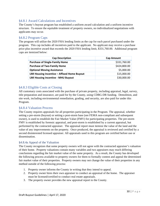# <span id="page-30-0"></span>§4.8.1 Award Calculations and Incentives

The County's buyout program has established a uniform award calculation and a uniform incentive structure. To ensure the equitable treatment of property owners, no individualized negotiations with applicants may occur.

#### <span id="page-30-1"></span>§4.8.2 Program Caps

The program will utilize the 2020 FHA lending limits as the cap for each parcel purchased under the program. This cap includes all incentives paid to the applicant. No applicant may receive a purchase price plus incentive award that exceeds the 2020 FHA lending limit, \$331,760.00. Additional program caps are itemized below:

| <b>Cap Description</b>                      | <b>Cap Amount</b> |
|---------------------------------------------|-------------------|
| <b>Purchase of Single-Family Home</b>       | \$331,760.00      |
| <b>Purchase of Two-Family Home</b>          | \$424,800.00      |
| <b>Optional Moving Assistance</b>           | \$5,000.00        |
| LMI Housing Incentive - Affixed Home Buyout | \$15,000.00       |
| <b>LMI Housing Incentive - MHU Buyout</b>   | \$30,000.00       |

# <span id="page-30-2"></span>§4.8.3 Eligible Costs at Closing

All customary costs associated with the purchase of private property, including appraisal, legal, survey, title preparation and insurance, are paid for by the County, using CDBG-DR funding. Demolition, and site work, including environmental remediation, grading, and security, are also paid for under this Program.

# <span id="page-30-3"></span>§4.8.4 Valuation Process

The County requires appraisals for all properties participating in the Program. The appraisal, whether setting a pre-storm (buyout) or setting a post-storm base (see FEMA non-compliant and subsequent owner), is used to establish the Fair Market Value (FMV) for participating properties. The pre-storm FMV is established by forensic appraisal, and post-storm is established by a current appraisal, but performed by the contracted appraiser. The appraisal report must itemize the value of the land and the value of any improvements on the property. Once produced, the appraisal is reviewed and certified by a second disinterested licensed appraiser. All appraisals used in this program are certified before use or dissemination.

#### <span id="page-30-4"></span>§4.8.4a Appeal of the Valuation

The County recognizes that some property owners will not agree with the contracted appraiser's valuation of their home. Property valuations contain many variables and two appraisers may reach differing conclusions regarding the fair market value of the same property. As a result, the County has developed the following process available to property owners for them to formally contest and appeal the determined fair market value of their properties. Property owners may not change the value of their properties in any method outside of the following process:

- 1. Property owner informs the County in writing that they intend to appeal.
- 2. Property owner hires their own appraiser to conduct an appraisal of the home. The appraiser must be licensed/certified to conduct real estate appraisals.
- 3. The property owner provides the new appraisal report to the County.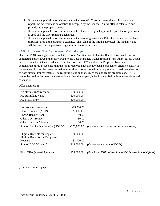- 4. If the new appraisal report shows a value increase of 15% or less over the original appraisal report, the new value is automatically accepted by the County. A new offer is calculated and provided to the property owner.
- 5. If the new appraisal report shows a value less than the original appraisal report, the original value is used and the offer remains unchanged.
- 6. If the new appraisal report shows a value increase of greater than 15%, the County must order a third appraisal at the program's expense. The value of the middle appraisal (the median value) will be used for the purposes of generating the offer amount.

# <span id="page-31-0"></span>§4.8.5 Uniform Offer Calculation Methodology

Once the VOB investigation is complete, a formal Verification of Disaster Benefits Received form is completed and reviewed, then forwarded to the Case Manager. Funds received from other sources which are determined a DOB are deducted from the structure's FMV unless the Property Owner can demonstrate, through receipts, that the funds received have already been expended on eligible costs. It is the responsibility of the owner to maintain receipts. Inspectors will not be procured to estimate the cost of post-disaster improvements. The resulting value cannot exceed the applicable program cap. DOBs cannot be used to decrease an award to lower than the property's land value. Below is an example award calculation:

Offer Example 1:

| Pre-storm structure value              | \$50,000.00     |                                                       |
|----------------------------------------|-----------------|-------------------------------------------------------|
| Pre-storm land value                   | \$20,000.00     |                                                       |
| Pre-Storm FMV                          | \$70,000.00     |                                                       |
|                                        |                 |                                                       |
| Homeowners Insurance                   | $-$ \$5,000.00  |                                                       |
| Flood Insurance (NFIP)                 | $-$ \$20,000.00 |                                                       |
| FEMA Repair Grant                      | \$0.00          |                                                       |
| <b>Other Govt' Sources</b>             | \$0.00          |                                                       |
| <b>Other Non-Govt' Sources</b>         | \$0.00          |                                                       |
| Sum of Duplicating Benefits ("DOBs")   | $-$ \$25,000.00 | (Cannot exceed pre-storm structure value)             |
|                                        |                 |                                                       |
| Eligible Receipts for Repair           | \$10,000.00     |                                                       |
| <b>Eligible Receipts for Temporary</b> |                 |                                                       |
| Housing                                | \$3,000.00      |                                                       |
| Sum of DOB "Offsets"                   | \$13,000.00     | (Cannot exceed sum of DOBs)                           |
|                                        |                 |                                                       |
| Final Offer (Award Amount)             | \$58,000.00     | (Pre-Storm FMV minus Sum of DOBs plus Sum of Offsets) |

(continued on next page)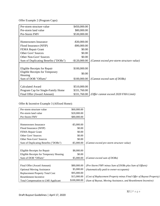Offer Example 2 (Program Caps):

| Pre-storm structure value              | \$450,000.00    |                                           |
|----------------------------------------|-----------------|-------------------------------------------|
| Pre-storm land value                   | \$80,000.00     |                                           |
| Pre-Storm FMV                          | \$530,000.00    |                                           |
|                                        |                 |                                           |
| Homeowners Insurance                   | $-$ \$30,000.00 |                                           |
| Flood Insurance (NFIP)                 | $-$ \$90,000.00 |                                           |
| FEMA Repair Grant                      | \$0.00          |                                           |
| <b>Other Govt' Sources</b>             | \$0.00          |                                           |
| <b>Other Non-Govt' Sources</b>         | \$0.00          |                                           |
| Sum of Duplicating Benefits ("DOBs")   | $-$120,000.00$  | (Cannot exceed pre-storm structure value) |
|                                        |                 |                                           |
| Eligible Receipts for Repair           | \$100,000.00    |                                           |
| <b>Eligible Receipts for Temporary</b> | \$0.00          |                                           |
| Housing                                |                 |                                           |
| Sum of DOB "Offsets"                   | \$100,000.00    | (Cannot exceed sum of DOBs)               |
|                                        |                 |                                           |
| <b>Calculated Award</b>                | \$510,000.00    |                                           |
| Program Cap for Single-Family Home     | \$331,760.00    |                                           |
| Final Offer (Award Amount)             | \$331,760.00    | (Offer cannot exceed 2020 FHA Limit)      |

Offer & Incentive Example 3 (Affixed Home):

| Pre-storm structure value                  | \$60,000.00    |                                                                     |
|--------------------------------------------|----------------|---------------------------------------------------------------------|
| Pre-storm land value                       | \$20,000.00    |                                                                     |
| Pre-Storm FMV                              | \$80,000.00    |                                                                     |
|                                            |                |                                                                     |
| Homeowners Insurance                       | $-$ \$5,000.00 |                                                                     |
| Flood Insurance (NFIP)                     | \$0.00         |                                                                     |
| FEMA Repair Grant                          | \$0.00         |                                                                     |
| Other Govt' Sources                        | \$0.00         |                                                                     |
| <b>Other Non-Govt' Sources</b>             | \$0.00         |                                                                     |
| Sum of Duplicating Benefits ("DOBs")       | $-$ \$5,000.00 | (Cannot exceed pre-storm structure value)                           |
|                                            |                |                                                                     |
| Eligible Receipts for Repair               | \$8,000.00     |                                                                     |
| Eligible Receipts for Temporary Housing    | \$0.00         |                                                                     |
| Sum of DOB "Offsets"                       | \$5,000.00     | (Cannot exceed sum of DOBs)                                         |
|                                            |                |                                                                     |
| Final Offer (Award Amount)                 | \$80,000.00    | (Pre-Storm FMV minus Sum of DOBs plus Sum of Offsets)               |
| <b>Optional Moving Assistance</b>          | \$5,000.00     | (Automatically paid to owner-occupants)                             |
| <b>Replacement Property Total Cost</b>     | \$95,000.00    |                                                                     |
| Resettlement Incentive                     | \$15,000.00    | (Cost of Replacement Property minus Final Offer of Buyout Property) |
| <b>Total Compensation to LMI Applicant</b> | \$100,000.00   | (Sum of Buyout, Moving Assistance, and Resettlement Incentive)      |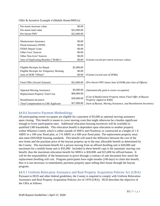| Pre-storm structure value                  | \$0.00      |                                                                                        |
|--------------------------------------------|-------------|----------------------------------------------------------------------------------------|
| Pre-storm land value                       | \$22,000.00 |                                                                                        |
| Pre-Storm FMV                              | \$22,000.00 |                                                                                        |
|                                            |             |                                                                                        |
| Homeowners Insurance                       | \$0.00      |                                                                                        |
| Flood Insurance (NFIP)                     | \$0.00      |                                                                                        |
| FEMA Repair Grant                          | \$0.00      |                                                                                        |
| <b>Other Govt' Sources</b>                 | \$0.00      |                                                                                        |
| <b>Other Non-Govt' Sources</b>             | \$0.00      |                                                                                        |
| Sum of Duplicating Benefits ("DOBs")       | \$0.00      | (Cannot exceed pre-storm structure value)                                              |
|                                            |             |                                                                                        |
| Eligible Receipts for Repair               | \$2,000.00  |                                                                                        |
| Eligible Receipts for Temporary Housing    | \$0.00      |                                                                                        |
| Sum of DOB "Offsets"                       | \$0.00      | (Cannot exceed sum of DOBs)                                                            |
|                                            |             |                                                                                        |
| Final Offer (Award Amount)                 | \$22,000.00 | (Pre-Storm FMV minus Sum of DOBs plus Sum of Offsets)                                  |
|                                            |             |                                                                                        |
| <b>Optional Moving Assistance</b>          | \$5,000.00  | (Automatically paid to owner-occupants)                                                |
| <b>Replacement Property Total Cost</b>     | \$60,000.00 |                                                                                        |
| <b>Resettlement Incentive</b>              | \$30,000.00 | (Cost of Replacement Property minus Final Offer of Buyout<br>Property capped at \$30k) |
| <b>Total Compensation to LMI Applicant</b> | \$57,000.00 | (Sum of Buyout, Moving Assistance, and Resettlement Incentive)                         |

Offer & Incentive Example 4 (Mobile Home/MHUs):

# <span id="page-33-0"></span>§4.8.6 Incentive Payment Methodology

All participating owner-occupants are eligible for a payment of \$5,000 as optional moving assistance upon closing. This benefit is meant to cover moving costs that might otherwise be a burden significant enough to lower participation rates. Additional relocation housing incentives will be available to qualified LMI households. This relocation benefit is dependent upon relocation to another property within Wharton County which is either outside of SHFA and Floodway or constructed at a height of 1 ft ABFE in a 100-year flood plan, or 3 ft ABFE in a 500-year flood plain. The replacement property must also meet DSS/HQS housing standards. This benefit will match the difference between the cost of the new home and the purchase price of the buyout property up to the max allowable benefit as determined by the County. The maximum benefit for a person moving from an affixed dwelling unit is \$20,000 and maximum for a mobile home unit is \$35,000. Included in these benefit caps is the automatic moving cost benefit, thus the maximum relocation benefit for MHUs is \$30,000, and \$15,000 for affixed homes. It will be the responsibility of the homeowner to prove through a contract of sale document how much the replacement dwelling will cost. Program participants have eight months (240 days) to claim this benefit, thus it is not necessary to immediately purchase property upon selling their house through the buyout program.

# <span id="page-33-1"></span>§4.9.1 Uniform Relocation Assistance and Real Property Acquisition Policies Act (URA)

Pursuant to HUD and other federal guidelines, the County is required to comply with Uniform Relocation Assistance and Real Property Acquisition Policies Act of 1970 (URA). HUD describes the objective of the URA as follows: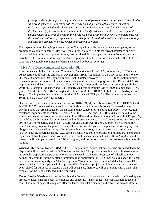*(1) to provide uniform, fair and equitable treatment of persons whose real property is acquired or who are displaced in connection with federally funded projects; (2) to ensure relocation assistance is provided to displaced persons to lessen the emotional and financial impact of displacement; (3) to ensure that no individual or family is displaced unless decent, safe and sanitary housing is available within the displaced person's financial means; (4) to help improve the housing conditions of displaced persons living in substandard housing; and (5) to encourage and expedite acquisition by agreement and without coercion.*

The buyout program being implemented by the County will not displace any owner-occupants, as the program is voluntary in nature. However, rental properties are eligible for buyout assistance and any tenants residing in the rental properties may be considered displaced persons by the County's buyout activities. The County has developed an Anti-Displacement and Relocation Plan which will be followed to ensure the equitable treatments of tenants displaced by buyout activities.

# <span id="page-34-0"></span>§4.9.2 Anti-Displacement and Relocation Plan

In accordance with the Housing and Community Development Act of 1974, as amended, (HCDA), and US Department of Housing and Urban Development (HUD) regulations at 24 CFR 42.325 and 570.440 (1), use of Community Development Block Grant Disaster Recovery (CDBG-DR) funds will minimize adverse impacts on persons of low and moderate-income persons. The purpose of this Residential Antidisplacement and Relocation Assistance Plan (RARAP) is to provide guidance on complying with the Uniform Relocation Assistance and Real Property Acquisition Policies Act of 1970, as amended (URA), (Pub. L 91-645, 42 U.S.C. 4601 et seq) and section 104(d) of the HCD Act (42 U.S.C. 5304(d))(Section 104(d)). The implementing regulations for the URA are at 49 CFR part 24. The regulations for section 104(d) are at 24 CFR part 42, subpart C.

One-for-one replacement requirements at section  $104(d)(2)(A)(i)$  and (ii) and (d)(3) of the HCD Act and 24 CFR 42.375 are waived in connection with funds allocated under this notice for lower-income dwelling units that are damaged by the disaster and not suitable for rehabilitation. Also, The relocation assistance requirements at section 104(d)(2)(A) of the HCD Act and 24 CFR 42.350 are waived to the extent that they differ from the requirements of the URA and implementing regulations at 49 CFR part 24, as modified by this notice, for activities related to disaster recovery. Lastly, The requirements of sections 204 and 205 of the URA, and 49 CFR  $24.2(a)(6)(\n)$ ;  $24.2(a)(6)(\n)$ ; and  $24.402(b)$  are waived to the extent necessary to permit a grantee to meet all or a portion of a grantee's replacement housing payment obligation to a displaced tenant by offering rental housing through a tenant based rental assistance (TBRA) housing program subsidy (e.g., Section 8 rental voucher or certificate), provided that comparable replacement dwellings are made available to the tenant in accordance with 49 CFR 24.204(a) where the owner is willing to participate in the TBRA program, and the period of authorized assistance is at least 42 months.

**General Information Notice (GIN)** - The URA regulations require that persons who are scheduled to be displaced will be provided with a GIN as soon as feasible. This program may involve both persons who are actually displaced and persons who are not displaced. If the tenant-occupant of a dwelling moves permanently from the property after submission of an application for HUD financial assistance, the tenant will be presumed to qualify as a "displaced person." To minimize such unintended displacements, HUD policy considers all occupants within a proposed HUD-assisted project involving buyouts as scheduled to be displaced for purposes of issuing a GIN. All occupants, therefore, will be provided with a GIN. The template for the GIN is attached in the Appendix.

**Tenant Intake Meeting**- As soon as feasible, the County shall contact each person who is affected by the project to discuss his/her needs, preferences and concerns. Whenever feasible, contact shall be face-toface. These meetings will take place after the landowner intake meeting and before the buyout offer is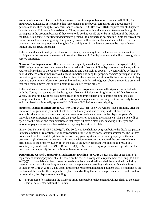sent to the landowner. This scheduling is meant to avoid the possible issue of tenant ineligibility for HUD/URA assistance. It is possible that some tenants in the buyout target area are undocumented persons and are thus ineligible to receive benefits from HUD. However, HUD requires that all displaced tenants receive URA relocation assistance. Thus, properties with undocumented tenants are ineligible to participate in the program because if they were to do so they would either be in violation of the URA or the HUD rule against benefiting undocumented persons. If a property is deemed ineligible for buyout for reasons related to tenant eligibility, that property owner will receive a phone call and a letter from the county stating that the property is ineligible for participation in the buyout program because of tenant ineligibility for HUD assistance.

If the tenant does not qualify for relocation assistance, or if at any time the landowner decides not to participate in the program, the tenant will receive a Notice of Nondisplacement and will not be eligible to receive assistance.

**Notice of Nondisplacement** - If a person does not qualify as a displaced person (see Paragraph 1-4 J.), HUD policy requires that such persons be provided with a Notice of Nondisplacement (see Paragraph 1-4 AA.) to advise them of the County's determination and their right to appeal. A tenant will be defined as "non-displaced" only if they received a Move-In notice outlining the property owner's participation in the buyout program before they signed the lease. Even if there was no intention to displace the person, if they were not given timely information essential to making an informed judgment about a move, it is assumed that the person's move was an involuntary move caused by the project.

If the landowner continues to participate in the buyout program and eventually signs a contract of sale with the County, the tenants will be then given a Notice of Relocation Eligibility and 90 Day Notice to vacate. In order to have these documents ready to send immediately after contract signing, the case management team will have identified three comparable replacement dwellings that are currently for rent and completed and internally approved HUD Form 40061 before contract signing.

**Notice of Relocation Eligibility (NOE)** (49 CFR 24.203(b)). The NOE will be issued promptly after the initiation of negotiations (contract of sale between County and land owner), and will describe the available relocation assistance, the estimated amount of assistance based on the displaced person's individual circumstances and needs, and the procedures for obtaining the assistance. This Notice will be specific to the person and their situation so that they will have a clear understanding of the type and amount of payments and/or other assistance they may be entitled to claim

Ninety-Day Notice (49 CFR 24.203(c)). The 90-day notice shall not be given before the displaced person is issued a notice of relocation eligibility (or notice of ineligibility) for relocation assistance. The 90-day notice need not be issued if: (a) there is no structure, growing stock, or personal property on the real property, or (b) the occupant made an informed decision to relocate and vacated the property without prior notice to the property owner, (c) in the case of an owner-occupant who moves as a result of a voluntary buyout described in 49 CFR 24.101(b)(1) or (2), the delivery of possession is specified in the purchase contract, or (d) the person is an unlawful occupant.

**Determining Cost of Comparable Replacement Dwelling (49 CFR 24.403(a))**. The upper limit of a replacement housing payment shall be based on the cost of a comparable replacement dwelling (49 CFR  $24.2(a)(6)$ ). If available, at least three comparable replacement dwellings shall be examined (including internal and external inspection) to ensure that the replacement dwelling is decent, safe and sanitary as defined at 49 CFR 24.2(a)(8). The upper limit of the replacement housing payment shall be established on the basis of the cost for the comparable replacement dwelling that is most representative of, and equal to, or better than, the displacement dwelling.

1. For purposes of establishing the payment limit, comparable replacement dwellings shall, to the extent feasible, be selected within the County.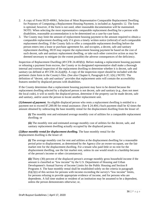- 2. A copy of Form HUD-40061, Selection of Most Representative Comparable Replacement Dwelling for Purposes of Computing a Replacement Housing Payment, is included as Appendix 12. The form is optional; however, if the form is not used, other reasonable documentation will be maintained. NOTE: When selecting the most representative comparable replacement dwelling for a person with disabilities, reasonable accommodation is to be determined on a case-by-case basis.
- 3. The County may limit the amount of replacement housing payment to the amount required to obtain a comparable replacement dwelling only if it gives a timely written notice (referral) of such comparable replacement dwelling. If the County fails to offer a comparable replacement dwelling before the person enters into a lease or purchase agreement for, and occupies, a decent, safe and sanitary replacement dwelling, HUD may require the replacement housing payment be based on the cost of such decent, safe and sanitary replacement dwelling, or take such other corrective action as may be deemed necessary to mitigate (to the extent possible) the adverse consequences of the deficiency.

Inspection of Replacement Dwelling (49 CFR 24.403(b)). Before making a replacement housing payment or releasing a payment from escrow, the County or its designated representative shall make a thorough internal and external inspection of the replacement dwelling to determine whether it is decent, safe and sanitary (as defined at  $\overline{49}$  CFR 24.2(a)(8)). A copy of the inspection report should be included with the pertinent claim form in the County's files. (See also Chapter 6, Paragraph 6-2C.1(h).) NOTE: The definition of "decent, safe and sanitary" provides that replacement units will contain the accessibility features needed by displaced persons with disabilities.

If the County determines that a replacement housing payment may have to be denied because the replacement dwelling selected by a displaced person is not decent, safe and sanitary (e.g., does not meet the local code), it will so notify the displaced person, determine if the property can be made decent, safe and sanitary, and/or assist the person to locate another replacement unit.

**(1)***Amount of payment.* An eligible [displaced person](https://www.law.cornell.edu/cfr/text/49/24.402) who rents a replacement [dwelling](https://www.law.cornell.edu/cfr/text/49/24.402) is entitled to a payment not to exceed \$7,200.00 for rental assistance. (See [§ 24.404.](https://www.law.cornell.edu/cfr/text/49/24.404)) Such payment shall be 42 times the amount obtained by subtracting the base monthly rental for the displacement [dwelling](https://www.law.cornell.edu/cfr/text/49/24.402) from the lesser of:

**(i)** The monthly rent and estimated average monthly cost of utilities for a [comparable replacement](https://www.law.cornell.edu/cfr/text/49/24.402)  [dwelling;](https://www.law.cornell.edu/cfr/text/49/24.402) or

**(ii)** The monthly rent and estimated average monthly cost of utilities for the decent, safe, and sanitary replacement [dwelling](https://www.law.cornell.edu/cfr/text/49/24.402) actually occupied by the [displaced person.](https://www.law.cornell.edu/cfr/text/49/24.402)

**(2)***Base monthly rental for displacement dwelling.* The base monthly rental for the displacement [dwelling](https://www.law.cornell.edu/cfr/text/49/24.402) is the lesser of:

**(i)** The average monthly cost for rent and utilities at the displacement [dwelling](https://www.law.cornell.edu/cfr/text/49/24.402) for a reasonable period prior to displacement, as determined by the [Agency](https://www.law.cornell.edu/cfr/text/49/24.402) (for an [owner-](https://www.law.cornell.edu/cfr/text/49/24.402)occupant, use the fair market rent for the displacement [dwelling.](https://www.law.cornell.edu/cfr/text/49/24.402) For a [tenant](https://www.law.cornell.edu/cfr/text/49/24.402) who paid little or no rent for the displacement [dwelling,](https://www.law.cornell.edu/cfr/text/49/24.402) use the fair market rent, unless its use would result in a hardship because of the [person's](https://www.law.cornell.edu/cfr/text/49/24.402) income or other circumstances);

**(ii)** Thirty (30) percent of the [displaced person's](https://www.law.cornell.edu/cfr/text/49/24.402) average monthly gross [household income](https://www.law.cornell.edu/cfr/text/49/24.402) if the amount is classified as "low income" by the U.S. Department of Housing and Urban Development's Annual Survey of Income Limits for the Public Housing and Section 8 Programs 4. The base monthly rental shall be established solely on the criteria in [paragraph](https://www.law.cornell.edu/cfr/text/49/24.402#b_2_i)  [\(b\)\(2\)\(i\)](https://www.law.cornell.edu/cfr/text/49/24.402#b_2_i) of this section for [persons](https://www.law.cornell.edu/cfr/text/49/24.402) with income exceeding the survey's "low income" limits, for [persons](https://www.law.cornell.edu/cfr/text/49/24.402) refusing to provide appropriate evidence of income, and for [persons](https://www.law.cornell.edu/cfr/text/49/24.402) who are dependents. A full time student or resident of an institution may be assumed to be a dependent, unless the [person](https://www.law.cornell.edu/cfr/text/49/24.402) demonstrates otherwise; or,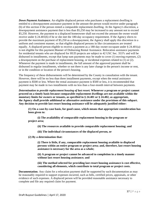*Down Payment Assistance.* An eligible [displaced person](https://www.law.cornell.edu/cfr/text/49/24.402) who purchases a replacement [dwelling](https://www.law.cornell.edu/cfr/text/49/24.402) is entitled to a downpayment assistance payment in the amount the [person](https://www.law.cornell.edu/cfr/text/49/24.402) would receive under [paragraph](https://www.law.cornell.edu/cfr/text/49/24.402#b)  [\(b\)](https://www.law.cornell.edu/cfr/text/49/24.402#b) of this section if the [person](https://www.law.cornell.edu/cfr/text/49/24.402) rented a [comparable replacement dwelling.](https://www.law.cornell.edu/cfr/text/49/24.402) At the [Agency's](https://www.law.cornell.edu/cfr/text/49/24.402) discretion, a downpayment assistance payment that is less than \$5,250 may be increased to any amount not to exceed \$5,250. However, the payment to a displaced homeowner shall not exceed the amount the [owner](https://www.law.cornell.edu/cfr/text/49/24.402) would receive under § 24.401(b) if he or she met the 180-day occupancy requirement. If the [Agency](https://www.law.cornell.edu/cfr/text/49/24.402) elects to provide the maximum payment of \$5,250 as a downpayment, the [Agency](https://www.law.cornell.edu/cfr/text/49/24.402) shall apply this discretion in a uniform and consistent manner, so that eligible [displaced persons](https://www.law.cornell.edu/cfr/text/49/24.402) in like circumstances are treated equally. A [displaced person](https://www.law.cornell.edu/cfr/text/49/24.402) eligible to receive a payment as a 180-day [owner-](https://www.law.cornell.edu/cfr/text/49/24.402)occupant under § 24.401(a) is not eligible for this payment.Manner of Disbursing Rental Assistance. Relocation assistance payments for residential tenants who are displaced for HUD projects are subject to 42 USC Sec. 3537c and will be disbursed in installments, except that lump sum payments may be made to cover (1) moving expenses, (2) a downpayment on the purchase of replacement housing, or incidental expenses related to (1) or (2). Whenever the payment is made in installments, the full amount of the approved payment shall be disbursed in regular installments, whether or not there is any later change in the person's income or rent, or in the condition or location of the person's housing.

The frequency of these disbursements will be determined by the County in consultation with the tenant. However, there will be no less than three installment payments, except when the rental assistance payment is \$500 or less. Where the rental assistance payment is \$500 or less, it is recommended that payment may be made in two installments with no less than a four-month interval between payments.

*Determination to provide replacement housing of last resort.* **Whenever a [program or project](https://www.law.cornell.edu/cfr/text/49/24.404) cannot proceed on a timely basis because [comparable replacement dwellings](https://www.law.cornell.edu/cfr/text/49/24.404) are not available within the monetary limits for [owners](https://www.law.cornell.edu/cfr/text/49/24.404) or tenants, as specified in [§ 24.401](https://www.law.cornell.edu/cfr/text/49/24.401) or [§ 24.402,](https://www.law.cornell.edu/cfr/text/49/24.402) as appropriate, the [Agency](https://www.law.cornell.edu/cfr/text/49/24.404) shall provide additional or alternative assistance under the provisions of this subpart. Any decision to provide last resort housing assistance will be adequately justified either:**

**(1) On a case-by-case basis, for good cause, which means that appropriate consideration has been given to:**

**(i) The availability of comparable replacement housing in the [program or](https://www.law.cornell.edu/cfr/text/49/24.404)  [project](https://www.law.cornell.edu/cfr/text/49/24.404) area;**

**(ii) The resources available to provide comparable replacement housing; and**

**(iii) The individual circumstances of the [displaced person,](https://www.law.cornell.edu/cfr/text/49/24.404) or**

**(2) By a determination that:**

**(i) There is little, if any, comparable replacement housing available to [displaced](https://www.law.cornell.edu/cfr/text/49/24.404)  [persons](https://www.law.cornell.edu/cfr/text/49/24.404) within an entire [program or project](https://www.law.cornell.edu/cfr/text/49/24.404) area; and, therefore, last resort housing assistance is necessary for the area as a whole;**

**(ii) A [program or project](https://www.law.cornell.edu/cfr/text/49/24.404) cannot be advanced to completion in a timely manner without last resort housing assistance; and**

**(iii) The method selected for providing last resort housing assistance is cost effective, considering all elements, which contribute to total [program or project](https://www.law.cornell.edu/cfr/text/49/24.404) costs.**

**Documentation**. Any claim for a relocation payment shall be supported by such documentation as may be reasonably required to support expenses incurred, such as bills, certified prices, appraisals, or other evidence of such expenses. A displaced person will be provided reasonable assistance necessary to complete and file any required claim for payment.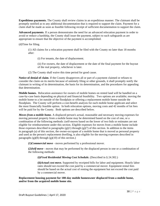**Expeditious payments.** The County shall review claims in an expeditious manner. The claimant shall be promptly notified as to any additional documentation that is required to support the claim. Payment for a claim shall be made as soon as feasible following receipt of sufficient documentation to support the claim.

**Advanced payments**. If a person demonstrates the need for an advanced relocation payment in order to avoid or reduce a hardship, the County shall issue the payment, subject to such safeguards as are appropriate to ensure that the objective of the payment is accomplished.

(d)Time for filing.

(1) All claims for a relocation payment shall be filed with the County no later than 18 months after:

(i) For tenants, the date of displacement.

(ii) For owners, the date of displacement or the date of the final payment for the buyout of the real property, whichever is later.

(2) The County shall waive this time period for good cause.

**Notice of denial of claim**. If the County disapproves all or part of a payment claimed or refuses to consider the claim on its merits because of untimely filing or other grounds, it shall promptly notify the claimant in writing of its determination, the basis for its determination, and the procedures for appealing that determination.

**Mobile homes.** Relocation assistance for owners of mobile homes on rented land will be handled on a case-by-case basis depending on physical and financial feasibility. Two options are available; moving the mobile home to a lot outside of the floodplain or offering a replacement mobile home outside the floodplain. The County will perform a cost-benefit analysis for each mobile home applicant and select the most financially feasible option. In both relocation options, moving costs and 42 months of lot fees will be paid for by the County. Both options are described below.

*Moves from a mobile home.* A [displaced person'](https://www.law.cornell.edu/cfr/text/49/24.301)s actual, reasonable and necessary moving expenses for moving personal property from a [mobile home](https://www.law.cornell.edu/cfr/text/49/24.301) may be determined based on the cost of one, or a combination of the following methods: (self-moves based on the lower of two bids or estimates are not eligible for reimbursement under this section. Eligible expenses for moves from a [mobile home](https://www.law.cornell.edu/cfr/text/49/24.301) include those expenses described in paragraphs  $(g)(1)$  through  $(g)(7)$  of this section. In addition to the items in [paragraph \(a\)](https://www.law.cornell.edu/cfr/text/49/24.301#a) of this section, the owner-occupant of a [mobile home](https://www.law.cornell.edu/cfr/text/49/24.301) that is moved as personal property and used as the [person's](https://www.law.cornell.edu/cfr/text/49/24.301) replacement [dwelling,](https://www.law.cornell.edu/cfr/text/49/24.301) is also eligible for the moving expenses described in paragraphs  $(g)(8)$  through  $(g)(10)$  of this section.)

**(1)***Commercial move* - moves performed by a professional mover.

**(2)***Self-move* - moves that may be performed by the [displaced person](https://www.law.cornell.edu/cfr/text/49/24.301) in one or a combination of the following methods:

**(i)***Fixed Residential Moving Cost Schedule.* (Described in [§ 24.302.\)](https://www.law.cornell.edu/cfr/text/49/24.302)

**(ii)***Actual cost move.* Supported by receipted bills for labor and equipment. Hourly labor rates should not exceed the cost paid by a commercial mover. Equipment rental fees should be based on the actual cost of renting the equipment but not exceed the cost paid by a commercial mover.

**Replacement housing payment for 180-day mobile homeowner displaced from a [mobile home,](https://www.law.cornell.edu/cfr/text/49/24.502) and/or from the acquired [mobile home](https://www.law.cornell.edu/cfr/text/49/24.502) site.**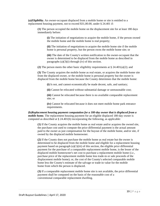**(a)***Eligibility.* An owner-occupant displaced from a [mobile home](https://www.law.cornell.edu/cfr/text/49/24.502) or site is entitled to a replacement housing payment, not to exceed \$31,00.00, under [§ 24.401](https://www.law.cornell.edu/cfr/text/49/24.401) if:

**(1)** The [person](https://www.law.cornell.edu/cfr/text/49/24.502) occupied the [mobile home](https://www.law.cornell.edu/cfr/text/49/24.502) on the displacement site for at least 180 days immediately before:

**(i)** The [initiation of negotiations](https://www.law.cornell.edu/cfr/text/49/24.502) to acquire the [mobile home,](https://www.law.cornell.edu/cfr/text/49/24.502) if the [person](https://www.law.cornell.edu/cfr/text/49/24.502) owned the [mobile home](https://www.law.cornell.edu/cfr/text/49/24.502) and the [mobile home](https://www.law.cornell.edu/cfr/text/49/24.502) is real property;

**(ii)** The initiation [of negotiations](https://www.law.cornell.edu/cfr/text/49/24.502) to acquire the [mobile home](https://www.law.cornell.edu/cfr/text/49/24.502) site if the [mobile](https://www.law.cornell.edu/cfr/text/49/24.502)  [home](https://www.law.cornell.edu/cfr/text/49/24.502) is personal property, but the [person](https://www.law.cornell.edu/cfr/text/49/24.502) owns the [mobile home](https://www.law.cornell.edu/cfr/text/49/24.502) site; or

**(iii)** The date of the [County's](https://www.law.cornell.edu/cfr/text/49/24.502) written notification to the owner-occupant that the owner is determined to be displaced from the [mobile home](https://www.law.cornell.edu/cfr/text/49/24.502) as described in paragraphs  $(a)(3)(i)$  through  $(iv)$  of this section.

**(2)** The [person](https://www.law.cornell.edu/cfr/text/49/24.502) meets the other basic eligibility requirements at [§ 24.401\(a\)\(2\);](https://www.law.cornell.edu/cfr/text/49/24.401#a_2) and

**(3)** The [County](https://www.law.cornell.edu/cfr/text/49/24.502) acquires the [mobile home](https://www.law.cornell.edu/cfr/text/49/24.502) as real estate, or acquires the [mobile home](https://www.law.cornell.edu/cfr/text/49/24.502) site from the displaced owner, or the [mobile home](https://www.law.cornell.edu/cfr/text/49/24.502) is personal property but the owner is displaced from the [mobile home](https://www.law.cornell.edu/cfr/text/49/24.502) because the [County](https://www.law.cornell.edu/cfr/text/49/24.502) determines that the mobile home:

**(i)** Is not, and cannot economically be made decent, safe, and sanitary;

**(ii)** Cannot be relocated without substantial damage or unreasonable cost;

**(iii)** Cannot be relocated because there is no available comparable replacement site; or

**(iv)** Cannot be relocated because it does not meet [mobile home](https://www.law.cornell.edu/cfr/text/49/24.502) park entrance requirements.

**(b)***Replacement housing payment computation for a 180-day owner that is displaced from a mobile home*. The replacement housing payment for an eligible displaced 180-day owner is computed as described at [§ 24.401\(b\)](https://www.law.cornell.edu/cfr/text/49/24.401#b) incorporating the following, as applicable:

**(1)** If the [County](https://www.law.cornell.edu/cfr/text/49/24.502) acquires the [mobile home](https://www.law.cornell.edu/cfr/text/49/24.502) as real estate and/or acquires the owned site, the purchase cost used to compute the price differential payment is the actual amount paid to the owner as just compensation for the buyout of the [mobile home,](https://www.law.cornell.edu/cfr/text/49/24.502) and/or site, if owned by the displaced mobile homeowner.

**(2)** If the [County](https://www.law.cornell.edu/cfr/text/49/24.502) does not purchase the [mobile home](https://www.law.cornell.edu/cfr/text/49/24.502) as real estate but the owner is determined to be displaced from the [mobile home](https://www.law.cornell.edu/cfr/text/49/24.502) and eligible for a replacement housing payment based on paragraph  $(a)(1)(iii)$  of this section, the eligible price differential payment for the purchase of a comparable replacement [mobile home,](https://www.law.cornell.edu/cfr/text/49/24.502) is the lesser of the displaced mobile homeowner's net cost to purchase a replacement [mobile home](https://www.law.cornell.edu/cfr/text/49/24.502) (*i.e.*, purchase price of the replacement [mobile home](https://www.law.cornell.edu/cfr/text/49/24.502) less trade-in or sale proceeds of the displacement mobile home); or, the cost of the [County's](https://www.law.cornell.edu/cfr/text/49/24.502) selected comparable [mobile](https://www.law.cornell.edu/cfr/text/49/24.502)  [home](https://www.law.cornell.edu/cfr/text/49/24.502) less the [County'](https://www.law.cornell.edu/cfr/text/49/24.502)s estimate of the salvage or trade-in value for the [mobile](https://www.law.cornell.edu/cfr/text/49/24.502)  [home](https://www.law.cornell.edu/cfr/text/49/24.502) from which the [person](https://www.law.cornell.edu/cfr/text/49/24.502) is displaced.

**(3)** If a comparable replacement [mobile home](https://www.law.cornell.edu/cfr/text/49/24.502) site is not available, the price differential payment shall be computed on the basis of the reasonable cost of a conventional [comparable replacement dwelling.](https://www.law.cornell.edu/cfr/text/49/24.502)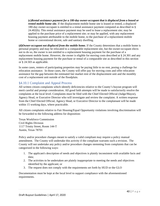**(c)***Rental assistance payment for a 180-day owner-occupant that is displaced from a leased or rented mobile home site.* If the displacement [mobile home](https://www.law.cornell.edu/cfr/text/49/24.502) site is leased or rented, a displaced 180-day owner-occupant is entitled to a rental assistance payment computed as described in [§](https://www.law.cornell.edu/cfr/text/49/24.402#b)  [24.402\(b\).](https://www.law.cornell.edu/cfr/text/49/24.402#b) This rental assistance payment may be used to lease a replacement site; may be applied to the purchase price of a replacement site; or may be applied, with any replacement housing payment attributable to the [mobile home,](https://www.law.cornell.edu/cfr/text/49/24.502) to the purchase of a replacement [mobile](https://www.law.cornell.edu/cfr/text/49/24.502)  [home](https://www.law.cornell.edu/cfr/text/49/24.502) or conventional decent, safe and sanitary [dwelling.](https://www.law.cornell.edu/cfr/text/49/24.502)

**(d)***Owner-occupant not displaced from the mobile home.* If the [County](https://www.law.cornell.edu/cfr/text/49/24.502) determines that a [mobile home](https://www.law.cornell.edu/cfr/text/49/24.502) is personal property and may be relocated to a comparable replacement site, but the owner-occupant elects not to do so, the owner is not entitled to a replacement housing payment for the purchase of a replacement [mobile home.](https://www.law.cornell.edu/cfr/text/49/24.502) However, the owner is eligible for moving costs described at [§ 24.301](https://www.law.cornell.edu/cfr/text/49/24.301) and any replacement housing payment for the purchase or rental of a comparable site as described in this section or § [24.503](https://www.law.cornell.edu/cfr/text/49/24.503) as applicable.

In some cases, renters of participating properties may be paying little to no rent, posing a challenge for relocation assistance. In those cases, the County will offer pay for moving costs and offer relocation assistance for the gap between the estimated fair market rent of the displacement unit and the monthly cost of a replacement unit outside of the floodplain.

# <span id="page-40-0"></span>§4.10.1 Complaint and Appeal Process

All written citizen complaints which identify deficiencies relative to the County's buyout program will merit careful and prompt consideration. All good faith attempts will be made to satisfactorily resolve the complaints at the local level. Complaints must be filed with the Chief Elected Official (Judge/Mayor), Agency Head, or Executive Director who will investigate and review the complaint. A written response from the Chief Elected Official, Agency Head, or Executive Director to the complainant will be made within 15 working days, where practicable.

All citizen complaints relative to Fair Housing/Equal Opportunity violations involving discrimination will be forwarded to the following address for disposition:

Texas Workforce Commission Civil Rights Division 1117 Trinity Street, Room 144-T Austin, Texas 78701

Policy and/or procedure changes meant to satisfy a valid compliant may require a policy manual amendment. The County will undertake this activity if the compliant warrants such a revision. The County will not undertake any policy and/or procedure changes stemming from complaints that can be categorized in the following ways:

- 1. The applicant's description of needs and objectives is plainly inconsistent with available facts and data;
- 2. The activities to be undertaken are plainly inappropriate to meeting the needs and objectives identified by the applicant; or
- 3. The request does not comply with the requirements set forth by HUD or the GLO

Documentation must be kept at the local level to support compliance with the aforementioned requirements.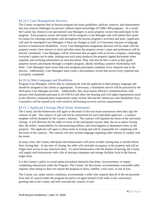# <span id="page-41-0"></span>§4.10.2 Case Management Services

The County recognizes that its buyout program has many guidelines, policies, nuances, and requirements that may present challenges for persons without expert knowledge of CDBG-DR programs. As a result, the County has chosen to use specialized Case Managers to assist property owners that participate in the program. Each property owner and tenant will be assigned a Case Manager who will remain their pointof-contact for meetings and phone calls throughout the buyout program's activities and steps. Applicants will only be reassigned Case Managers if there are changes to staff, or if necessary because of language barriers or homeowner disabilities. Every Case Management assignment decision will be made with the property owner's best interest in mind and often times the property owner's input and preferences will be heavily considered. Case Managers will be somewhat like an agent with an escrow company, confirming everyone's papers are in order, making sure each party produces the properly signed documents when required, and verifying information on each document. They will also be like a coach as they guide property owners and tenants through a complex program, ideally building a positive relationship with them. Case Managers must assure that each program participant completes every required step in the process. Additionally, Case Managers must create a documentary record that proves every required step is properly completed.

#### <span id="page-41-1"></span>§4.10.2a Other Languages and Disabilities

Program Case Managers will be able to communicate with the applicant in their primary language and should be assigned to the clients as appropriate. If necessary, a translation service will be procured by the third-party Case Manager provider. Additionally, they must ensure effective communications with persons with disabilities pursuant to 24 CFR 8.6 and other fair housing and civil rights requirements (such as the effective communication requirements under section 504 and the Americans with Disabilities Act). Counselors will be trained to be well-versed in all housing recovery activity requirements.

# <span id="page-41-2"></span>§4.11.1 Applicant Closings (Real Estate Settlement)

The County and the homeowner will agree to the terms of the real estate transaction when they sign the contract of sale. The contract of sale will not be customized for each individual applicant – a contract template will be designed by the County's attorney. The contract will stipulate the terms of the real estate closing. It will direction for the seller in terms of the anticipated vacancy date, the on-or-about closing date, the sellers' responsibility for disconnecting utilities, and what happens to abandoned items on the property. The applicant will agree to these terms in writing and will be responsible for complying with the terms of the contract. The contract will also include language regarding seller failures to comply with the terms.

In many cases, the County anticipates that homeowners will move on their closing date or shortly before their closing date. At the time of closing, the seller will surrender occupancy to the property and will no longer have access to any structures there. To assist homeowners with the burden of moving, the County will supply each homeowner with a list of moving companies and storage facilities local to the buyout target areas.

It is the County's policy to avoid undue procedural obstacles that delay, inconvenience, or impair completing transactions under the Program. The County, for this reason, accommodates reasonable seller requests when doing so does not expose the program to delay, liability, extra costs, or risk of loss.

The County can, under certain conditions, accommodate a seller who requests that all of the net proceeds from sale of a parcel under the program be paid to an agent instead of the seller in the conveyance granting title to the County and who executed the contract of sale.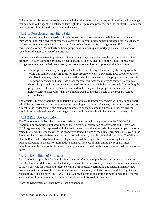If the terms of this procedure are fully satisfied, the seller must make the request in writing, acknowledge that payment to the agent will satisfy seller's right to net purchase proceeds, and indemnify the County for any losses resulting from disbursement to the agent.

# <span id="page-42-0"></span>§4.11.1a Foreclosures and Short Sales

Property owners who lost ownership of their homes due to foreclosure are ineligible for assistance, as they are no longer the owners of record. However, the buyout program may purchase properties that are in foreclosure proceedings by obtaining an Undertaking Letter and full mortgage payoff from the foreclosing attorney. Voluntarily selling a property with a delinquent mortgage balance is a common remedy for the non-payment of a mortgage.

In some cases, the outstanding balance of the mortgage may be greater than the purchase price of the property. In such cases, the property owner is unable to convey clear title to the County because the mortgage cannot be satisfied. As a result, the property owner has two options available to them:

- The property owner may bring personal funds to the closing table to satisfy the mortgage in full. While this solution is not practical for most property owners, particularly LMI property owners with fixed incomes, it is an option that will allow the conveyance of the property with clear title.
- The property owner and their Case Manager can work with the mortgage servicer to obtain a short sale approval. A short sale is a sale of real estate in which the net proceeds from selling the property will fall short of the debts secured by liens against the property. In this case, if all lien holders agree to accept less than the amount owed on the debt, a sale of the property can be accomplished.

The County's buyout program will undertake all efforts to assist property owners with obtaining a short sale if the property owner desires an outcome involving a short sale. However, short sale approvals are subject to the lender review, and cannot be guaranteed as an outcome in all cases. Property owners should inform their assigned Case Manager if they think a short sale will be required to convey title.

# <span id="page-42-1"></span>§4.11.2 End-Use Restrictions

The County memorializes the covenants made in connection with the property in the CDBG- DR Program. For properties purchased through the Program, a Declaration of Covenants and Restrictions (EBA Agreement) is incorporated with the deed for each parcel and recorded in the real property records office that serves the county where the property is found. Copies of the EBA Agreements are saved in the Program files. All restrictive covenants are recorded prior to, or at the time of, disposition. The Wharton County Road and Bridge Maintenance Departments will be responsible for monitoring the end-use of buyout properties to ensure no future redevelopment. Any cost of maintaining the property after demolition will be paid for by Wharton County, unless a HUD-allowable agreement is made with another party.

# <span id="page-42-2"></span>§4.12.1 Demolition of Structures

The County is responsible for demolishing structures after buyout purchases are complete. Structures must be demolished 45 days after the County obtains title to the property. Exceptions may only be made to the 45-day rule for health and safety concerns or if necessary permitting and environmental review processes make it impossible to meet that deadline. The County will also comply with HUD guidance related to lead and asbestos (see §4.4.2). The County's demolition contractor must adhere to all federal, state, and local laws pertaining to the safe demolition and disposal of materials.

From the Department of Labor Davis-Bacon handbook: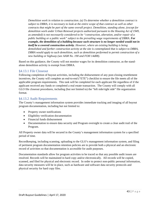*Demolition work in relation to construction. (a) To determine whether a demolition contract is subject to DBRA, it is necessary to look at the entire scope of that contract as well as other contracts that might be part of the same overall project. Demolition, standing alone, (except for demolition work under Urban Renewal projects authorized pursuant to the Housing Act of 1949, as amended) is not necessarily considered to be "construction, alteration, and/or repair of a public building or a public work" subject to the prevailing wage requirements of DBRA. For example, the demolition of a building because such structure is no longer needed would not in itself be a covered construction activity. However, where an existing building is being demolished and further construction activity at the site is contemplated that is subject to DBRA, DBRA would apply to such demolition, such as demolition performed to permit construction of a new building or highway (see AAM No. 190 and FOH 14d08).*

Based on this guidance, the County will not monitor wages for its demolition contractor, as the standalone demolition activity is exempt from DBRA.

#### <span id="page-43-0"></span>§4.13.1 File Closeout

Following completion of buyout activities, including the disbursement of any post-closing resettlement incentives, the County will complete an end-to-end ("ETE") checklist to ensure the file meets all of the applicable program requirements. This task will be completed for each applicant file regardless of if the applicant received any funds or completed a real estate transaction. The County will comply with all GLO file closeout procedures, including (but not limited to) the "left side/right side" file organization format.

#### <span id="page-43-1"></span>§4.13.2 Audit Requirements

The County's management information system provides immediate tracking and imaging of all buyout program documentation, including but not limited to:

- Property owner notifications
- Eligibility verification documentation
- Financial funds disbursement
- Documentation to ensure data security and Program oversight to create a clear audit trail of the Program.

All Property owner data will be secured in the County's management information system for a specified period of time.

Recordkeeping, including scanning, uploading to the GLO's management information system, and filing of pertinent program documentation retention policies are to provide both a physical and an electronic record of activities so that documentation is accessible for audit purposes.

Documentation standards allow for program activities to be traced so that any possible audit issues are resolved. Records will be maintained in hard copy and/or electronically. All records will be copied, scanned, and filed for physical and electronic record. In order to protect non-public personal information, data security measures will be in place, such as hardware and software data security protocols and physical security for hard copy files.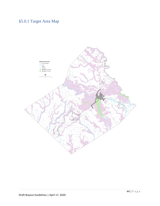# <span id="page-44-0"></span>§5.0.1 Target Area Map